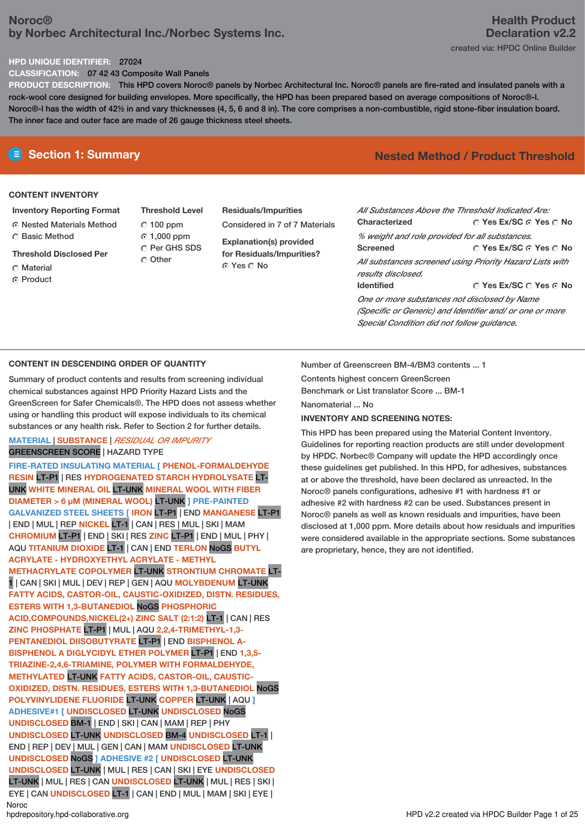# **Noroc® by Norbec Architectural Inc./Norbec Systems Inc.**

### **HPD UNIQUE IDENTIFIER:** 27024

**CLASSIFICATION:** 07 42 43 Composite Wall Panels

**PRODUCT DESCRIPTION:** This HPD covers Noroc® panels by Norbec Architectural Inc. Noroc® panels are fire-rated and insulated panels with a rock-wool core designed for building envelopes. More specifically, the HPD has been prepared based on average compositions of Noroc®-l. Noroc®-l has the width of 42½ in and vary thicknesses (4, 5, 6 and 8 in). The core comprises a non-combustible, rigid stone-fiber insulation board. The inner face and outer face are made of 26 gauge thickness steel sheets.

### **CONTENT INVENTORY**

- **Inventory Reporting Format** Nested Materials Method ○ Basic Method
- **Threshold Disclosed Per**
- C Material
- C Product
- **Threshold Level** 100 ppm 1,000 ppm C Per GHS SDS C Other
- **Residuals/Impurities** Considered in 7 of 7 Materials **Explanation(s) provided for Residuals/Impurities?**
	- © Yes ∩ No

# **E** Section 1: Summary **Nested** Method **/** Product Threshold

**Yes Ex/SC Yes No Yes Ex/SC Yes No Yes Ex/SC Yes No** *All Substances Above the Threshold Indicated Are:* **Characterized** *% weight and role provided for all substances.* **Screened** *All substances screened using Priority Hazard Lists with results disclosed.* **Identified** *One or more substances not disclosed by Name (Specific or Generic) and Identifier and/ or one or more*

## **CONTENT IN DESCENDING ORDER OF QUANTITY**

Summary of product contents and results from screening individual chemical substances against HPD Priority Hazard Lists and the GreenScreen for Safer Chemicals®. The HPD does not assess whether using or handling this product will expose individuals to its chemical substances or any health risk. Refer to Section 2 for further details.

## **MATERIAL** | **SUBSTANCE** | *RESIDUAL OR IMPURITY* GREENSCREEN SCORE | HAZARD TYPE

**FIRE-RATED INSULATING MATERIAL [ PHENOL-FORMALDEHYDE RESIN** LT-P1 | RES **HYDROGENATED STARCH HYDROLYSATE** LT-UNK **WHITE MINERAL OIL** LT-UNK **MINERAL WOOL WITH FIBER DIAMETER > 6 μM (MINERAL WOOL)** LT-UNK **] PRE-PAINTED GALVANIZED STEEL SHEETS [ IRON** LT-P1 | END **MANGANESE** LT-P1 | END | MUL | REP **NICKEL** LT-1 | CAN | RES | MUL | SKI | MAM **CHROMIUM** LT-P1 | END | SKI | RES **ZINC** LT-P1 | END | MUL | PHY | AQU **TITANIUM DIOXIDE** LT-1 | CAN | END **TERLON** NoGS **BUTYL ACRYLATE - HYDROXYETHYL ACRYLATE - METHYL METHACRYLATE COPOLYMER** LT-UNK **STRONTIUM CHROMATE** LT-1 | CAN | SKI | MUL | DEV | REP | GEN | AQU **MOLYBDENUM** LT-UNK **FATTY ACIDS, CASTOR-OIL, CAUSTIC-OXIDIZED, DISTN. RESIDUES, ESTERS WITH 1,3-BUTANEDIOL** NoGS **PHOSPHORIC ACID,COMPOUNDS,NICKEL(2+) ZINC SALT (2:1:2)** LT-1 | CAN | RES **ZINC PHOSPHATE** LT-P1 | MUL | AQU **2,2,4-TRIMETHYL-1,3- PENTANEDIOL DIISOBUTYRATE** LT-P1 | END **BISPHENOL A-BISPHENOL A DIGLYCIDYL ETHER POLYMER** LT-P1 | END **1,3,5- TRIAZINE-2,4,6-TRIAMINE, POLYMER WITH FORMALDEHYDE, METHYLATED** LT-UNK **FATTY ACIDS, CASTOR-OIL, CAUSTIC-OXIDIZED, DISTN. RESIDUES, ESTERS WITH 1,3-BUTANEDIOL** NoGS **POLYVINYLIDENE FLUORIDE** LT-UNK **COPPER** LT-UNK | AQU **] ADHESIVE#1 [ UNDISCLOSED** LT-UNK **UNDISCLOSED** NoGS **UNDISCLOSED** BM-1 | END | SKI | CAN | MAM | REP | PHY **UNDISCLOSED** LT-UNK **UNDISCLOSED** BM-4 **UNDISCLOSED** LT-1 | END | REP | DEV | MUL | GEN | CAN | MAM **UNDISCLOSED** LT-UNK **UNDISCLOSED** NoGS **] ADHESIVE #2 [ UNDISCLOSED** LT-UNK **UNDISCLOSED** LT-UNK | MUL | RES | CAN | SKI | EYE **UNDISCLOSED** LT-UNK | MUL | RES | CAN **UNDISCLOSED** LT-UNK | MUL | RES | SKI | EYE | CAN **UNDISCLOSED** LT-1 | CAN | END | MUL | MAM |SKI | EYE | Noroc<br>hodrepository.hpd-collaborative.org

Number of Greenscreen BM-4/BM3 contents ... 1

Contents highest concern GreenScreen Benchmark or List translator Score ... BM-1

Nanomaterial ... No

### **INVENTORY AND SCREENING NOTES:**

This HPD has been prepared using the Material Content Inventory. Guidelines for reporting reaction products are still under development by HPDC. Norbec® Company will update the HPD accordingly once these guidelines get published. In this HPD, for adhesives, substances at or above the threshold, have been declared as unreacted. In the Noroc® panels configurations, adhesive #1 with hardness #1 or adhesive #2 with hardness #2 can be used. Substances present in Noroc® panels as well as known residuals and impurities, have been disclosed at 1,000 ppm. More details about how residuals and impurities were considered available in the appropriate sections. Some substances are proprietary, hence, they are not identified.

*Special Condition did not follow guidance.*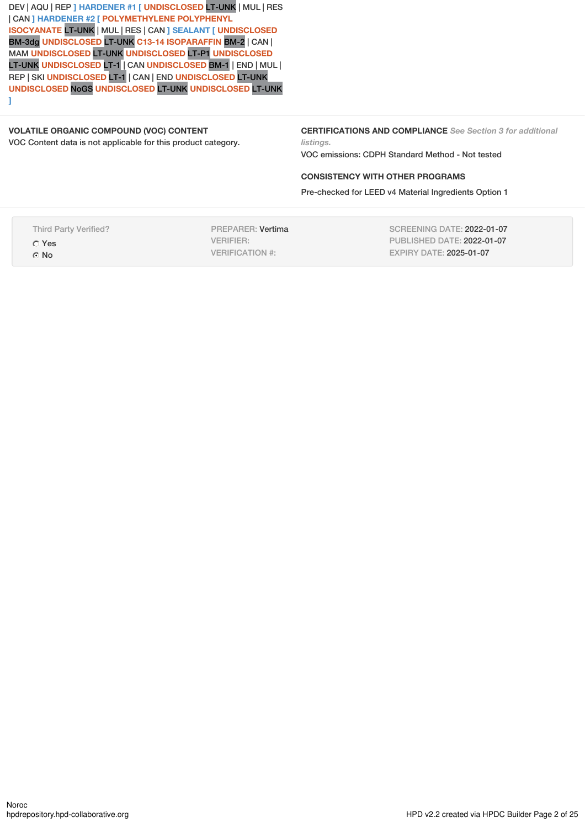DEV | AQU | REP **] HARDENER #1 [ UNDISCLOSED** LT-UNK | MUL | RES | CAN **] HARDENER #2 [ POLYMETHYLENE POLYPHENYL ISOCYANATE** LT-UNK | MUL | RES | CAN **] SEALANT [ UNDISCLOSED** BM-3dg **UNDISCLOSED** LT-UNK **C13-14 ISOPARAFFIN** BM-2 | CAN | MAM **UNDISCLOSED** LT-UNK **UNDISCLOSED** LT-P1 **UNDISCLOSED** LT-UNK **UNDISCLOSED** LT-1 | CAN **UNDISCLOSED** BM-1 | END | MUL | REP | SKI **UNDISCLOSED** LT-1 | CAN | END **UNDISCLOSED** LT-UNK **UNDISCLOSED** NoGS **UNDISCLOSED** LT-UNK **UNDISCLOSED** LT-UNK **]**

### **VOLATILE ORGANIC COMPOUND (VOC) CONTENT** VOC Content data is not applicable for this product category.

**CERTIFICATIONS AND COMPLIANCE** *See Section 3 for additional listings.*

VOC emissions: CDPH Standard Method - Not tested

## **CONSISTENCY WITH OTHER PROGRAMS**

Pre-checked for LEED v4 Material Ingredients Option 1

Third Party Verified? Yes

G<sub>No</sub>

PREPARER: Vertima VERIFIER: VERIFICATION #:

SCREENING DATE: 2022-01-07 PUBLISHED DATE: 2022-01-07 EXPIRY DATE: 2025-01-07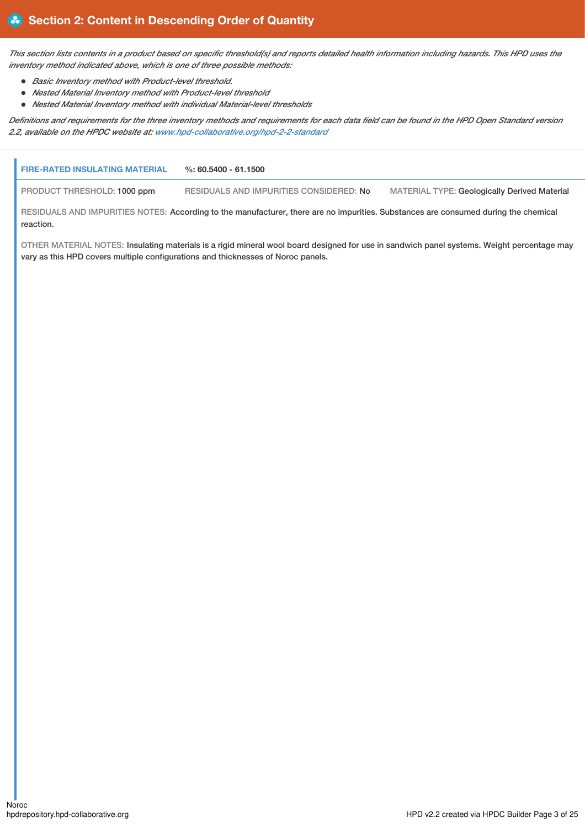This section lists contents in a product based on specific threshold(s) and reports detailed health information including hazards. This HPD uses the *inventory method indicated above, which is one of three possible methods:*

- *Basic Inventory method with Product-level threshold.*
- *Nested Material Inventory method with Product-level threshold*
- *Nested Material Inventory method with individual Material-level thresholds*

Definitions and requirements for the three inventory methods and requirements for each data field can be found in the HPD Open Standard version *2.2, available on the HPDC website at: [www.hpd-collaborative.org/hpd-2-2-standard](https://www.hpd-collaborative.org/hpd-2-2-standard)*

| <b>FIRE-RATED INSULATING MATERIAL</b>                                            | $\%: 60.5400 - 61.1500$                                                                                                                    |                                                     |
|----------------------------------------------------------------------------------|--------------------------------------------------------------------------------------------------------------------------------------------|-----------------------------------------------------|
| PRODUCT THRESHOLD: 1000 ppm                                                      | RESIDUALS AND IMPURITIES CONSIDERED: No                                                                                                    | <b>MATERIAL TYPE: Geologically Derived Material</b> |
| reaction.                                                                        | RESIDUALS AND IMPURITIES NOTES: According to the manufacturer, there are no impurities. Substances are consumed during the chemical        |                                                     |
| vary as this HPD covers multiple configurations and thicknesses of Noroc panels. | OTHER MATERIAL NOTES: Insulating materials is a rigid mineral wool board designed for use in sandwich panel systems. Weight percentage may |                                                     |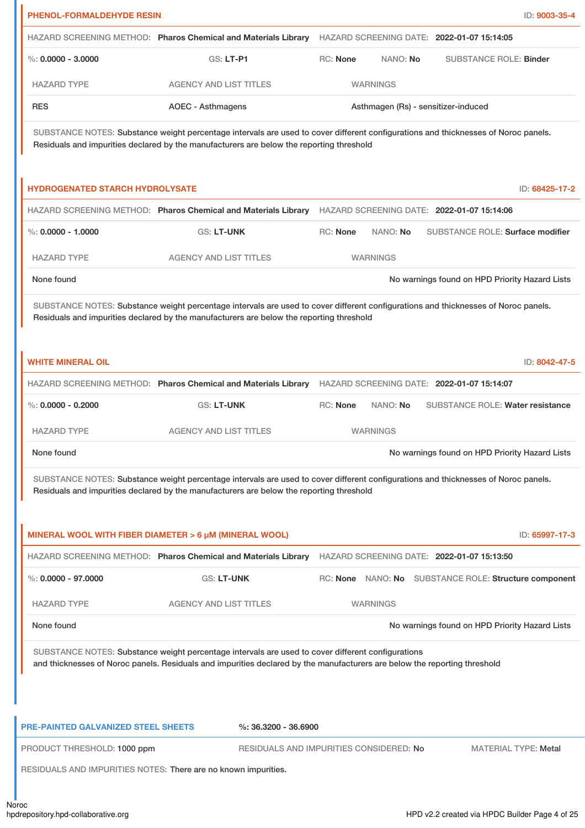|                                                             | HAZARD SCREENING METHOD: Pharos Chemical and Materials Library                                                                                                                                                                 |          | HAZARD SCREENING DATE: 2022-01-07 15:14:05 |  |                                                       |               |
|-------------------------------------------------------------|--------------------------------------------------------------------------------------------------------------------------------------------------------------------------------------------------------------------------------|----------|--------------------------------------------|--|-------------------------------------------------------|---------------|
| $\%$ : 0.0000 - 3.0000                                      | GS: LT-P1                                                                                                                                                                                                                      | RC: None | NANO: No                                   |  | <b>SUBSTANCE ROLE: Binder</b>                         |               |
| <b>HAZARD TYPE</b>                                          | <b>AGENCY AND LIST TITLES</b>                                                                                                                                                                                                  |          | <b>WARNINGS</b>                            |  |                                                       |               |
| <b>RES</b>                                                  | <b>AOEC - Asthmagens</b>                                                                                                                                                                                                       |          | Asthmagen (Rs) - sensitizer-induced        |  |                                                       |               |
|                                                             | SUBSTANCE NOTES: Substance weight percentage intervals are used to cover different configurations and thicknesses of Noroc panels.<br>Residuals and impurities declared by the manufacturers are below the reporting threshold |          |                                            |  |                                                       |               |
| <b>HYDROGENATED STARCH HYDROLYSATE</b>                      |                                                                                                                                                                                                                                |          |                                            |  | ID: 68425-17-2                                        |               |
|                                                             | HAZARD SCREENING METHOD: Pharos Chemical and Materials Library                                                                                                                                                                 |          | HAZARD SCREENING DATE: 2022-01-07 15:14:06 |  |                                                       |               |
| $\%$ : 0.0000 - 1.0000                                      | <b>GS: LT-UNK</b>                                                                                                                                                                                                              | RC: None | NANO: No                                   |  | SUBSTANCE ROLE: Surface modifier                      |               |
| <b>HAZARD TYPE</b>                                          | <b>AGENCY AND LIST TITLES</b>                                                                                                                                                                                                  |          | <b>WARNINGS</b>                            |  |                                                       |               |
| None found                                                  |                                                                                                                                                                                                                                |          |                                            |  | No warnings found on HPD Priority Hazard Lists        |               |
|                                                             | SUBSTANCE NOTES: Substance weight percentage intervals are used to cover different configurations and thicknesses of Noroc panels.<br>Residuals and impurities declared by the manufacturers are below the reporting threshold |          |                                            |  |                                                       |               |
| <b>WHITE MINERAL OIL</b>                                    |                                                                                                                                                                                                                                |          |                                            |  |                                                       | ID: 8042-47-5 |
|                                                             | HAZARD SCREENING METHOD: Pharos Chemical and Materials Library                                                                                                                                                                 |          | HAZARD SCREENING DATE: 2022-01-07 15:14:07 |  |                                                       |               |
| %: $0.0000 - 0.2000$                                        | GS: LT-UNK                                                                                                                                                                                                                     | RC: None | NANO: No                                   |  | <b>SUBSTANCE ROLE: Water resistance</b>               |               |
| <b>HAZARD TYPE</b>                                          | <b>AGENCY AND LIST TITLES</b>                                                                                                                                                                                                  |          | <b>WARNINGS</b>                            |  |                                                       |               |
| None found                                                  |                                                                                                                                                                                                                                |          |                                            |  | No warnings found on HPD Priority Hazard Lists        |               |
|                                                             | SUBSTANCE NOTES: Substance weight percentage intervals are used to cover different configurations and thicknesses of Noroc panels.<br>Residuals and impurities declared by the manufacturers are below the reporting threshold |          |                                            |  |                                                       |               |
|                                                             | MINERAL WOOL WITH FIBER DIAMETER > 6 µM (MINERAL WOOL)                                                                                                                                                                         |          |                                            |  | ID: 65997-17-3                                        |               |
|                                                             |                                                                                                                                                                                                                                |          |                                            |  |                                                       |               |
|                                                             | HAZARD SCREENING METHOD: Pharos Chemical and Materials Library                                                                                                                                                                 |          | HAZARD SCREENING DATE: 2022-01-07 15:13:50 |  |                                                       |               |
|                                                             | <b>GS: LT-UNK</b>                                                                                                                                                                                                              |          |                                            |  | RC: None NANO: No SUBSTANCE ROLE: Structure component |               |
|                                                             | <b>AGENCY AND LIST TITLES</b>                                                                                                                                                                                                  |          | <b>WARNINGS</b>                            |  |                                                       |               |
|                                                             |                                                                                                                                                                                                                                |          |                                            |  | No warnings found on HPD Priority Hazard Lists        |               |
| $\%$ : 0.0000 - 97.0000<br><b>HAZARD TYPE</b><br>None found | SUBSTANCE NOTES: Substance weight percentage intervals are used to cover different configurations<br>and thicknesses of Noroc panels. Residuals and impurities declared by the manufacturers are below the reporting threshold |          |                                            |  |                                                       |               |
| <b>PRE-PAINTED GALVANIZED STEEL SHEETS</b>                  | $\%$ : 36.3200 - 36.6900                                                                                                                                                                                                       |          |                                            |  |                                                       |               |
| PRODUCT THRESHOLD: 1000 ppm                                 | RESIDUALS AND IMPURITIES CONSIDERED: No                                                                                                                                                                                        |          |                                            |  | <b>MATERIAL TYPE: Metal</b>                           |               |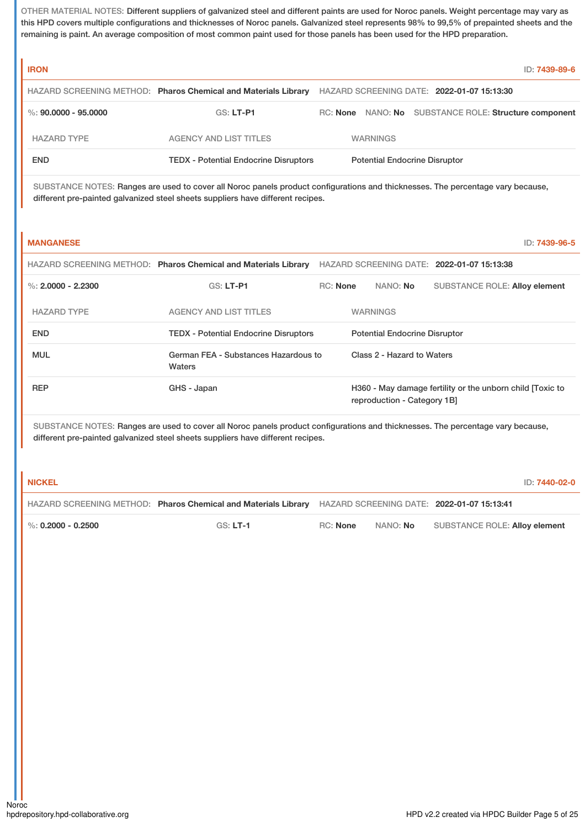OTHER MATERIAL NOTES: Different suppliers of galvanized steel and different paints are used for Noroc panels. Weight percentage may vary as this HPD covers multiple configurations and thicknesses of Noroc panels. Galvanized steel represents 98% to 99,5% of prepainted sheets and the remaining is paint. An average composition of most common paint used for those panels has been used for the HPD preparation.

| <b>IRON</b>          |                                                                | ID: 7439-89-6                                                   |
|----------------------|----------------------------------------------------------------|-----------------------------------------------------------------|
|                      | HAZARD SCREENING METHOD: Pharos Chemical and Materials Library | HAZARD SCREENING DATE: 2022-01-07 15:13:30                      |
| %: 90.0000 - 95.0000 | GS: LT-P1                                                      | NANO: No SUBSTANCE ROLE: Structure component<br>RC: <b>None</b> |
| <b>HAZARD TYPE</b>   | <b>AGENCY AND LIST TITLES</b>                                  | <b>WARNINGS</b>                                                 |
| <b>END</b>           | <b>TEDX - Potential Endocrine Disruptors</b>                   | <b>Potential Endocrine Disruptor</b>                            |

SUBSTANCE NOTES: Ranges are used to cover all Noroc panels product configurations and thicknesses. The percentage vary because, different pre-painted galvanized steel sheets suppliers have different recipes.

| <b>MANGANESE</b>     |                                                                |                 |                                      |                                                           | ID: 7439-96-5 |
|----------------------|----------------------------------------------------------------|-----------------|--------------------------------------|-----------------------------------------------------------|---------------|
|                      | HAZARD SCREENING METHOD: Pharos Chemical and Materials Library |                 |                                      | HAZARD SCREENING DATE: 2022-01-07 15:13:38                |               |
| %: $2.0000 - 2.2300$ | <b>GS: LT-P1</b>                                               | <b>RC: None</b> | NANO: No                             | <b>SUBSTANCE ROLE: Alloy element</b>                      |               |
| <b>HAZARD TYPE</b>   | <b>AGENCY AND LIST TITLES</b>                                  |                 | <b>WARNINGS</b>                      |                                                           |               |
| <b>END</b>           | <b>TEDX - Potential Endocrine Disruptors</b>                   |                 | <b>Potential Endocrine Disruptor</b> |                                                           |               |
| <b>MUL</b>           | German FEA - Substances Hazardous to<br>Waters                 |                 | Class 2 - Hazard to Waters           |                                                           |               |
| <b>REP</b>           | GHS - Japan                                                    |                 | reproduction - Category 1B]          | H360 - May damage fertility or the unborn child [Toxic to |               |

SUBSTANCE NOTES: Ranges are used to cover all Noroc panels product configurations and thicknesses. The percentage vary because, different pre-painted galvanized steel sheets suppliers have different recipes.

| I NICKEL                         |                                                                                                           |          |                 |                                      | ID: 7440-02-0 |
|----------------------------------|-----------------------------------------------------------------------------------------------------------|----------|-----------------|--------------------------------------|---------------|
|                                  | HAZARD SCREENING METHOD: Pharos Chemical and Materials Library HAZARD SCREENING DATE: 2022-01-07 15:13:41 |          |                 |                                      |               |
| $\frac{1}{2}$ %: 0.2000 - 0.2500 | $GS: LT-1$                                                                                                | RC: None | NANO: <b>No</b> | <b>SUBSTANCE ROLE: Alloy element</b> |               |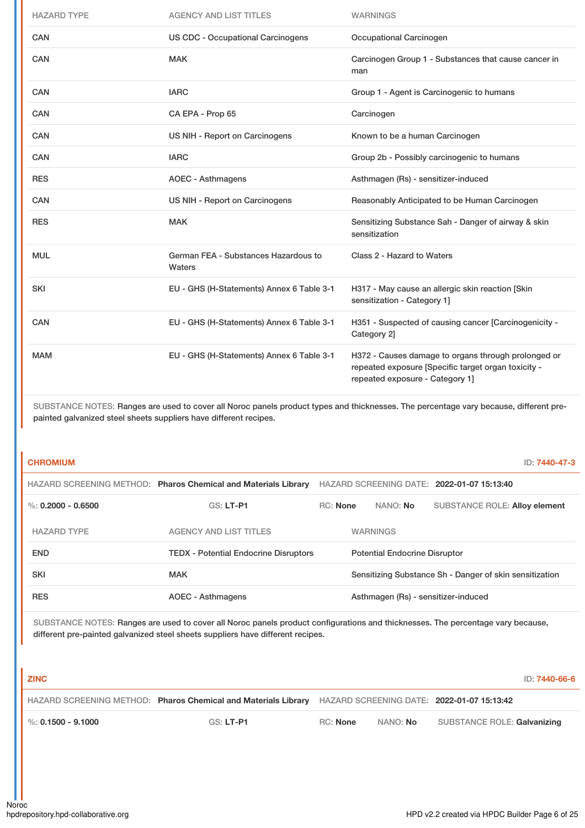| <b>HAZARD TYPE</b> | <b>AGENCY AND LIST TITLES</b>                  | <b>WARNINGS</b>                                                                                                                               |
|--------------------|------------------------------------------------|-----------------------------------------------------------------------------------------------------------------------------------------------|
| <b>CAN</b>         | <b>US CDC - Occupational Carcinogens</b>       | Occupational Carcinogen                                                                                                                       |
| CAN                | <b>MAK</b>                                     | Carcinogen Group 1 - Substances that cause cancer in<br>man                                                                                   |
| CAN                | <b>IARC</b>                                    | Group 1 - Agent is Carcinogenic to humans                                                                                                     |
| <b>CAN</b>         | CA EPA - Prop 65                               | Carcinogen                                                                                                                                    |
| <b>CAN</b>         | US NIH - Report on Carcinogens                 | Known to be a human Carcinogen                                                                                                                |
| <b>CAN</b>         | <b>IARC</b>                                    | Group 2b - Possibly carcinogenic to humans                                                                                                    |
| <b>RES</b>         | <b>AOEC - Asthmagens</b>                       | Asthmagen (Rs) - sensitizer-induced                                                                                                           |
| CAN                | US NIH - Report on Carcinogens                 | Reasonably Anticipated to be Human Carcinogen                                                                                                 |
| <b>RES</b>         | <b>MAK</b>                                     | Sensitizing Substance Sah - Danger of airway & skin<br>sensitization                                                                          |
| <b>MUL</b>         | German FEA - Substances Hazardous to<br>Waters | Class 2 - Hazard to Waters                                                                                                                    |
| <b>SKI</b>         | EU - GHS (H-Statements) Annex 6 Table 3-1      | H317 - May cause an allergic skin reaction [Skin<br>sensitization - Category 1]                                                               |
| CAN                | EU - GHS (H-Statements) Annex 6 Table 3-1      | H351 - Suspected of causing cancer [Carcinogenicity -<br>Category 2]                                                                          |
| <b>MAM</b>         | EU - GHS (H-Statements) Annex 6 Table 3-1      | H372 - Causes damage to organs through prolonged or<br>repeated exposure [Specific target organ toxicity -<br>repeated exposure - Category 1] |

SUBSTANCE NOTES: Ranges are used to cover all Noroc panels product types and thicknesses. The percentage vary because, different prepainted galvanized steel sheets suppliers have different recipes.

**CHROMIUM** ID: **7440-47-3**

|                      | HAZARD SCREENING METHOD: Pharos Chemical and Materials Library |                 |                                      | HAZARD SCREENING DATE: 2022-01-07 15:13:40              |
|----------------------|----------------------------------------------------------------|-----------------|--------------------------------------|---------------------------------------------------------|
| %: $0.2000 - 0.6500$ | $GS: LT-PI$                                                    | <b>RC:</b> None | NANO: No                             | <b>SUBSTANCE ROLE: Alloy element</b>                    |
| <b>HAZARD TYPE</b>   | <b>AGENCY AND LIST TITLES</b>                                  |                 | <b>WARNINGS</b>                      |                                                         |
| <b>END</b>           | <b>TEDX - Potential Endocrine Disruptors</b>                   |                 | <b>Potential Endocrine Disruptor</b> |                                                         |
| <b>SKI</b>           | <b>MAK</b>                                                     |                 |                                      | Sensitizing Substance Sh - Danger of skin sensitization |
| <b>RES</b>           | <b>AOEC - Asthmagens</b>                                       |                 |                                      | Asthmagen (Rs) - sensitizer-induced                     |

SUBSTANCE NOTES: Ranges are used to cover all Noroc panels product configurations and thicknesses. The percentage vary because, different pre-painted galvanized steel sheets suppliers have different recipes.

| <b>ZINC</b>            |                                                                |          |          | ID: 7440-66-6                              |
|------------------------|----------------------------------------------------------------|----------|----------|--------------------------------------------|
|                        | HAZARD SCREENING METHOD: Pharos Chemical and Materials Library |          |          | HAZARD SCREENING DATE: 2022-01-07 15:13:42 |
| $\%$ : 0.1500 - 9.1000 | GS: LT-P1                                                      | RC: None | NANO: No | SUBSTANCE ROLE: Galvanizing                |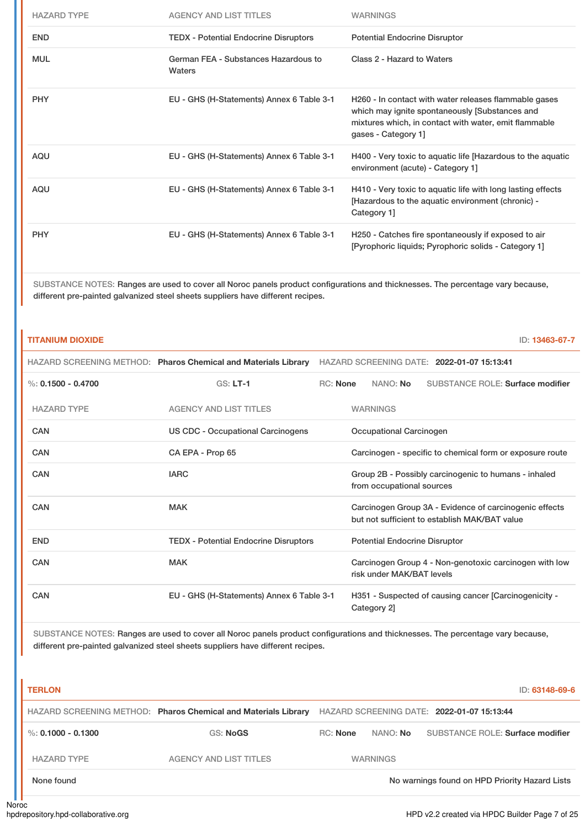| <b>HAZARD TYPE</b> | AGENCY AND LIST TITLES                         | <b>WARNINGS</b>                                                                                                                                                                         |
|--------------------|------------------------------------------------|-----------------------------------------------------------------------------------------------------------------------------------------------------------------------------------------|
| <b>END</b>         | <b>TEDX</b> - Potential Endocrine Disruptors   | <b>Potential Endocrine Disruptor</b>                                                                                                                                                    |
| <b>MUL</b>         | German FEA - Substances Hazardous to<br>Waters | Class 2 - Hazard to Waters                                                                                                                                                              |
| <b>PHY</b>         | EU - GHS (H-Statements) Annex 6 Table 3-1      | H260 - In contact with water releases flammable gases<br>which may ignite spontaneously [Substances and<br>mixtures which, in contact with water, emit flammable<br>gases - Category 1] |
| AQU                | EU - GHS (H-Statements) Annex 6 Table 3-1      | H400 - Very toxic to aquatic life [Hazardous to the aquatic<br>environment (acute) - Category 1]                                                                                        |
| AQU                | EU - GHS (H-Statements) Annex 6 Table 3-1      | H410 - Very toxic to aquatic life with long lasting effects<br>[Hazardous to the aquatic environment (chronic) -<br>Category 1]                                                         |
| <b>PHY</b>         | EU - GHS (H-Statements) Annex 6 Table 3-1      | H250 - Catches fire spontaneously if exposed to air<br>[Pyrophoric liquids; Pyrophoric solids - Category 1]                                                                             |

SUBSTANCE NOTES: Ranges are used to cover all Noroc panels product configurations and thicknesses. The percentage vary because, different pre-painted galvanized steel sheets suppliers have different recipes.

| <b>TITANIUM DIOXIDE</b> |                                                                                                                                 |                 |                                      | ID: 13463-67-7                                                                                          |
|-------------------------|---------------------------------------------------------------------------------------------------------------------------------|-----------------|--------------------------------------|---------------------------------------------------------------------------------------------------------|
|                         | <b>HAZARD SCREENING METHOD: Pharos Chemical and Materials Library</b>                                                           |                 |                                      | HAZARD SCREENING DATE: 2022-01-07 15:13:41                                                              |
| %: $0.1500 - 0.4700$    | $GS: LT-1$                                                                                                                      | <b>RC: None</b> | NANO: No                             | <b>SUBSTANCE ROLE: Surface modifier</b>                                                                 |
| <b>HAZARD TYPE</b>      | <b>AGENCY AND LIST TITLES</b>                                                                                                   |                 | <b>WARNINGS</b>                      |                                                                                                         |
| CAN                     | <b>US CDC - Occupational Carcinogens</b>                                                                                        |                 | Occupational Carcinogen              |                                                                                                         |
| CAN                     | CA EPA - Prop 65                                                                                                                |                 |                                      | Carcinogen - specific to chemical form or exposure route                                                |
| CAN                     | <b>IARC</b>                                                                                                                     |                 | from occupational sources            | Group 2B - Possibly carcinogenic to humans - inhaled                                                    |
| CAN                     | <b>MAK</b>                                                                                                                      |                 |                                      | Carcinogen Group 3A - Evidence of carcinogenic effects<br>but not sufficient to establish MAK/BAT value |
| <b>END</b>              | <b>TEDX</b> - Potential Endocrine Disruptors                                                                                    |                 | <b>Potential Endocrine Disruptor</b> |                                                                                                         |
| CAN                     | <b>MAK</b>                                                                                                                      |                 | risk under MAK/BAT levels            | Carcinogen Group 4 - Non-genotoxic carcinogen with low                                                  |
| CAN                     | EU - GHS (H-Statements) Annex 6 Table 3-1                                                                                       |                 | Category 2]                          | H351 - Suspected of causing cancer [Carcinogenicity -                                                   |
|                         | SUBSTANCE NOTES: Ranges are used to cover all Noroc panels product configurations and thicknesses. The percentage vary because, |                 |                                      |                                                                                                         |

different pre-painted galvanized steel sheets suppliers have different recipes.

| <b>TERLON</b>          |                                                                |                 |                 | ID: 63148-69-6                                 |
|------------------------|----------------------------------------------------------------|-----------------|-----------------|------------------------------------------------|
|                        | HAZARD SCREENING METHOD: Pharos Chemical and Materials Library |                 |                 | HAZARD SCREENING DATE: 2022-01-07 15:13:44     |
| $\%$ : 0.1000 - 0.1300 | GS: NoGS                                                       | <b>RC:</b> None | NANO: <b>No</b> | SUBSTANCE ROLE: Surface modifier               |
| <b>HAZARD TYPE</b>     | <b>AGENCY AND LIST TITLES</b>                                  |                 | <b>WARNINGS</b> |                                                |
| None found             |                                                                |                 |                 | No warnings found on HPD Priority Hazard Lists |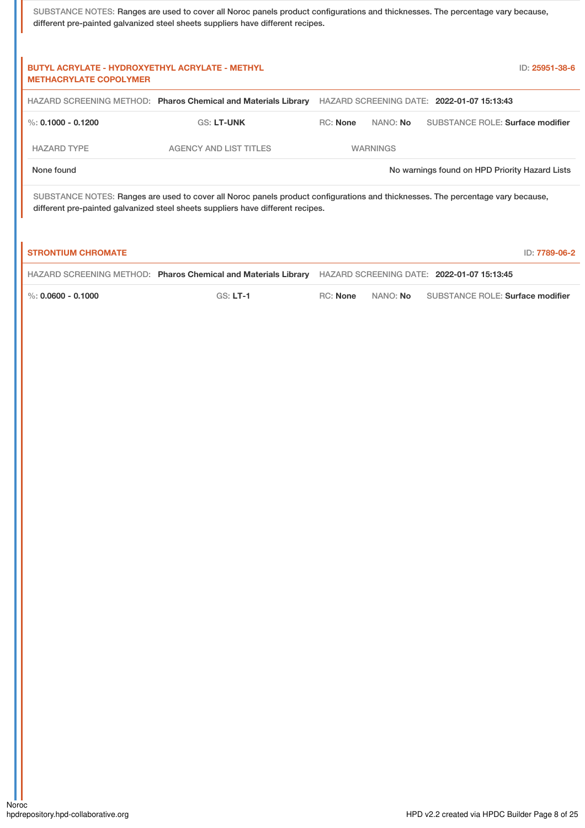| SUBSTANCE NOTES: Ranges are used to cover all Noroc panels product configurations and thicknesses. The percentage vary because, |
|---------------------------------------------------------------------------------------------------------------------------------|
| different pre-painted galvanized steel sheets suppliers have different recipes.                                                 |

| <b>BUTYL ACRYLATE - HYDROXYETHYL ACRYLATE - METHYL</b><br><b>METHACRYLATE COPOLYMER</b> |                                                                                                                                                                                                                    |                 |                 | ID: 25951-38-6                                 |
|-----------------------------------------------------------------------------------------|--------------------------------------------------------------------------------------------------------------------------------------------------------------------------------------------------------------------|-----------------|-----------------|------------------------------------------------|
|                                                                                         | HAZARD SCREENING METHOD: Pharos Chemical and Materials Library                                                                                                                                                     |                 |                 | HAZARD SCREENING DATE: 2022-01-07 15:13:43     |
| %: $0.1000 - 0.1200$                                                                    | <b>GS: LT-UNK</b>                                                                                                                                                                                                  | <b>RC: None</b> | NANO: No        | <b>SUBSTANCE ROLE: Surface modifier</b>        |
| <b>HAZARD TYPE</b>                                                                      | <b>AGENCY AND LIST TITLES</b>                                                                                                                                                                                      |                 | <b>WARNINGS</b> |                                                |
| None found                                                                              |                                                                                                                                                                                                                    |                 |                 | No warnings found on HPD Priority Hazard Lists |
|                                                                                         | SUBSTANCE NOTES: Ranges are used to cover all Noroc panels product configurations and thicknesses. The percentage vary because,<br>different pre-painted galvanized steel sheets suppliers have different recipes. |                 |                 |                                                |
| <b>STRONTIUM CHROMATE</b>                                                               |                                                                                                                                                                                                                    |                 |                 | ID: 7789-06-2                                  |
|                                                                                         | HAZARD SCREENING METHOD: Pharos Chemical and Materials Library                                                                                                                                                     |                 |                 | HAZARD SCREENING DATE: 2022-01-07 15:13:45     |
| %: $0.0600 - 0.1000$                                                                    | $GS: LT-1$                                                                                                                                                                                                         | <b>RC:</b> None | NANO: No        | <b>SUBSTANCE ROLE: Surface modifier</b>        |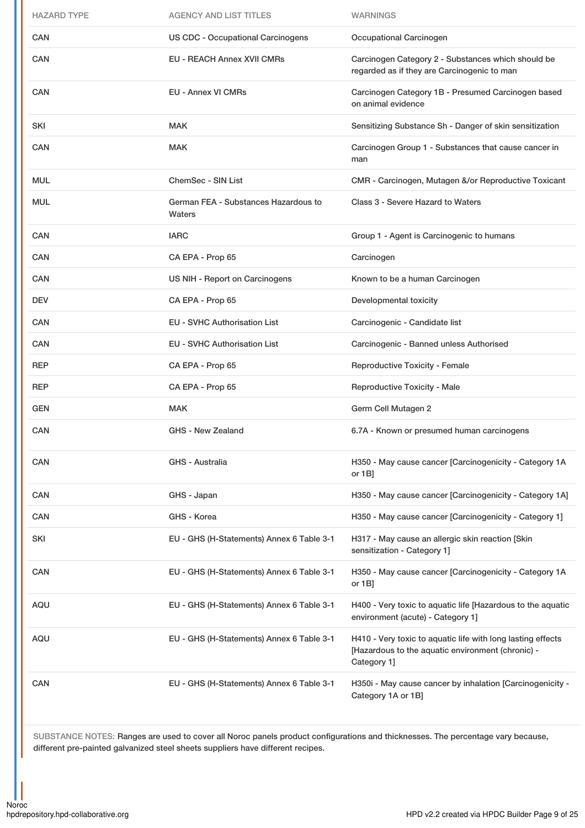| <b>HAZARD TYPE</b> | <b>AGENCY AND LIST TITLES</b>                  | <b>WARNINGS</b>                                                                                                                 |
|--------------------|------------------------------------------------|---------------------------------------------------------------------------------------------------------------------------------|
| CAN                | <b>US CDC - Occupational Carcinogens</b>       | Occupational Carcinogen                                                                                                         |
| CAN                | <b>EU - REACH Annex XVII CMRs</b>              | Carcinogen Category 2 - Substances which should be<br>regarded as if they are Carcinogenic to man                               |
| <b>CAN</b>         | <b>EU - Annex VI CMRs</b>                      | Carcinogen Category 1B - Presumed Carcinogen based<br>on animal evidence                                                        |
| <b>SKI</b>         | <b>MAK</b>                                     | Sensitizing Substance Sh - Danger of skin sensitization                                                                         |
| CAN                | <b>MAK</b>                                     | Carcinogen Group 1 - Substances that cause cancer in<br>man                                                                     |
| <b>MUL</b>         | <b>ChemSec - SIN List</b>                      | CMR - Carcinogen, Mutagen &/or Reproductive Toxicant                                                                            |
| <b>MUL</b>         | German FEA - Substances Hazardous to<br>Waters | Class 3 - Severe Hazard to Waters                                                                                               |
| <b>CAN</b>         | <b>IARC</b>                                    | Group 1 - Agent is Carcinogenic to humans                                                                                       |
| <b>CAN</b>         | CA EPA - Prop 65                               | Carcinogen                                                                                                                      |
| <b>CAN</b>         | US NIH - Report on Carcinogens                 | Known to be a human Carcinogen                                                                                                  |
| <b>DEV</b>         | CA EPA - Prop 65                               | Developmental toxicity                                                                                                          |
| <b>CAN</b>         | <b>EU - SVHC Authorisation List</b>            | Carcinogenic - Candidate list                                                                                                   |
| CAN                | <b>EU - SVHC Authorisation List</b>            | Carcinogenic - Banned unless Authorised                                                                                         |
| <b>REP</b>         | CA EPA - Prop 65                               | Reproductive Toxicity - Female                                                                                                  |
| <b>REP</b>         | CA EPA - Prop 65                               | <b>Reproductive Toxicity - Male</b>                                                                                             |
| <b>GEN</b>         | <b>MAK</b>                                     | Germ Cell Mutagen 2                                                                                                             |
| CAN                | <b>GHS - New Zealand</b>                       | 6.7A - Known or presumed human carcinogens                                                                                      |
| CAN                | GHS - Australia                                | H350 - May cause cancer [Carcinogenicity - Category 1A<br>or 1B]                                                                |
| CAN                | GHS - Japan                                    | H350 - May cause cancer [Carcinogenicity - Category 1A]                                                                         |
| CAN                | GHS - Korea                                    | H350 - May cause cancer [Carcinogenicity - Category 1]                                                                          |
| <b>SKI</b>         | EU - GHS (H-Statements) Annex 6 Table 3-1      | H317 - May cause an allergic skin reaction [Skin<br>sensitization - Category 1]                                                 |
| CAN                | EU - GHS (H-Statements) Annex 6 Table 3-1      | H350 - May cause cancer [Carcinogenicity - Category 1A<br>or $1B$ ]                                                             |
|                    |                                                |                                                                                                                                 |
| AQU                | EU - GHS (H-Statements) Annex 6 Table 3-1      | H400 - Very toxic to aquatic life [Hazardous to the aquatic<br>environment (acute) - Category 1]                                |
| <b>AQU</b>         | EU - GHS (H-Statements) Annex 6 Table 3-1      | H410 - Very toxic to aquatic life with long lasting effects<br>[Hazardous to the aquatic environment (chronic) -<br>Category 1] |

SUBSTANCE NOTES: Ranges are used to cover all Noroc panels product configurations and thicknesses. The percentage vary because, different pre-painted galvanized steel sheets suppliers have different recipes.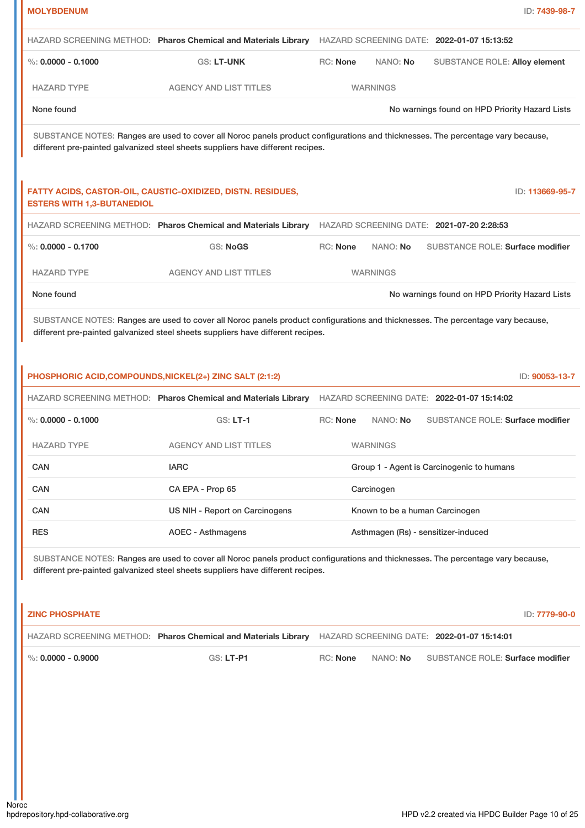| <b>MOLYBDENUM</b>                                        |                                                                                                                                                                                                                    |                             | ID: 7439-98-7                                  |
|----------------------------------------------------------|--------------------------------------------------------------------------------------------------------------------------------------------------------------------------------------------------------------------|-----------------------------|------------------------------------------------|
|                                                          | HAZARD SCREENING METHOD: Pharos Chemical and Materials Library                                                                                                                                                     |                             | HAZARD SCREENING DATE: 2022-01-07 15:13:52     |
| $\%$ : 0.0000 - 0.1000                                   | <b>GS: LT-UNK</b>                                                                                                                                                                                                  | RC: None<br>NANO: No        | <b>SUBSTANCE ROLE: Alloy element</b>           |
| <b>HAZARD TYPE</b>                                       | <b>AGENCY AND LIST TITLES</b>                                                                                                                                                                                      | <b>WARNINGS</b>             |                                                |
| None found                                               |                                                                                                                                                                                                                    |                             | No warnings found on HPD Priority Hazard Lists |
|                                                          | SUBSTANCE NOTES: Ranges are used to cover all Noroc panels product configurations and thicknesses. The percentage vary because,<br>different pre-painted galvanized steel sheets suppliers have different recipes. |                             |                                                |
| <b>ESTERS WITH 1,3-BUTANEDIOL</b>                        | FATTY ACIDS, CASTOR-OIL, CAUSTIC-OXIDIZED, DISTN. RESIDUES,                                                                                                                                                        |                             | ID: 113669-95-7                                |
|                                                          | HAZARD SCREENING METHOD: Pharos Chemical and Materials Library                                                                                                                                                     |                             | HAZARD SCREENING DATE: 2021-07-20 2:28:53      |
| $\%$ : 0.0000 - 0.1700                                   | GS: NoGS                                                                                                                                                                                                           | <b>RC: None</b><br>NANO: No | SUBSTANCE ROLE: Surface modifier               |
| <b>HAZARD TYPE</b>                                       | <b>AGENCY AND LIST TITLES</b>                                                                                                                                                                                      | <b>WARNINGS</b>             |                                                |
| None found                                               |                                                                                                                                                                                                                    |                             | No warnings found on HPD Priority Hazard Lists |
| PHOSPHORIC ACID, COMPOUNDS, NICKEL(2+) ZINC SALT (2:1:2) |                                                                                                                                                                                                                    |                             | ID: 90053-13-7                                 |
|                                                          | HAZARD SCREENING METHOD: Pharos Chemical and Materials Library                                                                                                                                                     |                             | HAZARD SCREENING DATE: 2022-01-07 15:14:02     |
| $\%$ : 0.0000 - 0.1000                                   | <b>GS: LT-1</b>                                                                                                                                                                                                    | <b>RC: None</b><br>NANO: No | <b>SUBSTANCE ROLE: Surface modifier</b>        |
| <b>HAZARD TYPE</b>                                       | <b>AGENCY AND LIST TITLES</b>                                                                                                                                                                                      | <b>WARNINGS</b>             |                                                |
| CAN                                                      | <b>IARC</b>                                                                                                                                                                                                        |                             | Group 1 - Agent is Carcinogenic to humans      |
| CAN                                                      | CA EPA - Prop 65                                                                                                                                                                                                   | Carcinogen                  |                                                |
| CAN                                                      | US NIH - Report on Carcinogens                                                                                                                                                                                     |                             | Known to be a human Carcinogen                 |
| <b>RES</b>                                               | <b>AOEC - Asthmagens</b>                                                                                                                                                                                           |                             | Asthmagen (Rs) - sensitizer-induced            |
|                                                          | SUBSTANCE NOTES: Ranges are used to cover all Noroc panels product configurations and thicknesses. The percentage vary because,<br>different pre-painted galvanized steel sheets suppliers have different recipes. |                             |                                                |
| <b>ZINC PHOSPHATE</b>                                    |                                                                                                                                                                                                                    |                             | ID: 7779-90-0                                  |
|                                                          | HAZARD SCREENING METHOD: Pharos Chemical and Materials Library HAZARD SCREENING DATE: 2022-01-07 15:14:01                                                                                                          |                             |                                                |
| $\%$ : 0.0000 - 0.9000                                   | GS: LT-P1                                                                                                                                                                                                          | RC: None<br>NANO: No        | SUBSTANCE ROLE: Surface modifier               |

- II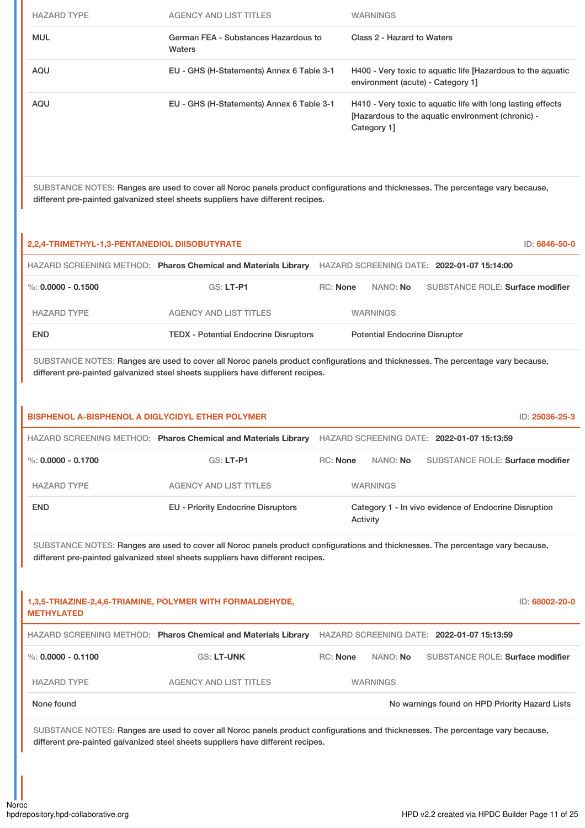| <b>HAZARD TYPE</b> | AGENCY AND LIST TITLES                         | <b>WARNINGS</b>                                                                                                                 |
|--------------------|------------------------------------------------|---------------------------------------------------------------------------------------------------------------------------------|
| <b>MUL</b>         | German FEA - Substances Hazardous to<br>Waters | Class 2 - Hazard to Waters                                                                                                      |
| AQU                | EU - GHS (H-Statements) Annex 6 Table 3-1      | H400 - Very toxic to aquatic life [Hazardous to the aquatic<br>environment (acute) - Category 1]                                |
| AQU                | EU - GHS (H-Statements) Annex 6 Table 3-1      | H410 - Very toxic to aquatic life with long lasting effects<br>[Hazardous to the aquatic environment (chronic) -<br>Category 1] |

SUBSTANCE NOTES: Ranges are used to cover all Noroc panels product configurations and thicknesses. The percentage vary because, different pre-painted galvanized steel sheets suppliers have different recipes.

| 2,2,4-TRIMETHYL-1,3-PENTANEDIOL DIISOBUTYRATE<br>ID: 6846-50-0 |                                                                |                 |                                            |                                         |  |
|----------------------------------------------------------------|----------------------------------------------------------------|-----------------|--------------------------------------------|-----------------------------------------|--|
|                                                                | HAZARD SCREENING METHOD: Pharos Chemical and Materials Library |                 | HAZARD SCREENING DATE: 2022-01-07 15:14:00 |                                         |  |
| %: $0.0000 - 0.1500$                                           | $GS: LT-PI$                                                    | <b>RC:</b> None | NANO: <b>No</b>                            | <b>SUBSTANCE ROLE: Surface modifier</b> |  |
| <b>HAZARD TYPE</b>                                             | <b>AGENCY AND LIST TITLES</b>                                  |                 | <b>WARNINGS</b>                            |                                         |  |
| <b>END</b>                                                     | <b>TEDX - Potential Endocrine Disruptors</b>                   |                 | <b>Potential Endocrine Disruptor</b>       |                                         |  |

SUBSTANCE NOTES: Ranges are used to cover all Noroc panels product configurations and thicknesses. The percentage vary because, different pre-painted galvanized steel sheets suppliers have different recipes.

| <b>BISPHENOL A-BISPHENOL A DIGLYCIDYL ETHER POLYMER</b><br>ID: 25036-25-3 |                                                                                                                                                                                                                    |          |                 |                                                       |                |
|---------------------------------------------------------------------------|--------------------------------------------------------------------------------------------------------------------------------------------------------------------------------------------------------------------|----------|-----------------|-------------------------------------------------------|----------------|
|                                                                           | HAZARD SCREENING METHOD: Pharos Chemical and Materials Library                                                                                                                                                     |          |                 | HAZARD SCREENING DATE: 2022-01-07 15:13:59            |                |
| $\%$ : 0.0000 - 0.1700                                                    | GS: LT-P1                                                                                                                                                                                                          | RC: None | NANO: No        | <b>SUBSTANCE ROLE: Surface modifier</b>               |                |
| <b>HAZARD TYPE</b>                                                        | <b>AGENCY AND LIST TITLES</b>                                                                                                                                                                                      |          | <b>WARNINGS</b> |                                                       |                |
| <b>END</b>                                                                | <b>EU - Priority Endocrine Disruptors</b>                                                                                                                                                                          |          | Activity        | Category 1 - In vivo evidence of Endocrine Disruption |                |
|                                                                           | SUBSTANCE NOTES: Ranges are used to cover all Noroc panels product configurations and thicknesses. The percentage vary because,<br>different pre-painted galvanized steel sheets suppliers have different recipes. |          |                 |                                                       |                |
| <b>METHYLATED</b>                                                         | 1,3,5-TRIAZINE-2,4,6-TRIAMINE, POLYMER WITH FORMALDEHYDE,                                                                                                                                                          |          |                 |                                                       | ID: 68002-20-0 |
|                                                                           | HAZARD SCREENING METHOD: Pharos Chemical and Materials Library                                                                                                                                                     |          |                 | HAZARD SCREENING DATE: 2022-01-07 15:13:59            |                |
| $\%$ : 0.0000 - 0.1100                                                    | <b>GS: LT-UNK</b>                                                                                                                                                                                                  | RC: None | NANO: No        | <b>SUBSTANCE ROLE: Surface modifier</b>               |                |
| <b>HAZARD TYPE</b>                                                        | <b>AGENCY AND LIST TITLES</b>                                                                                                                                                                                      |          | <b>WARNINGS</b> |                                                       |                |
| None found                                                                |                                                                                                                                                                                                                    |          |                 | No warnings found on HPD Priority Hazard Lists        |                |
|                                                                           | SUBSTANCE NOTES: Ranges are used to cover all Noroc panels product configurations and thicknesses. The percentage vary because,<br>different pre-painted galvanized steel sheets suppliers have different recipes. |          |                 |                                                       |                |
|                                                                           |                                                                                                                                                                                                                    |          |                 |                                                       |                |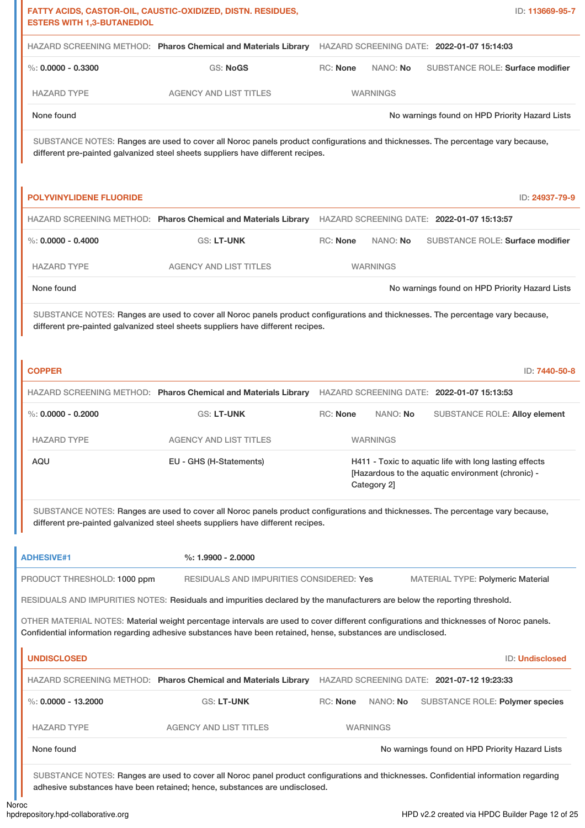| <b>ESTERS WITH 1,3-BUTANEDIOL</b> | FATTY ACIDS, CASTOR-OIL, CAUSTIC-OXIDIZED, DISTN. RESIDUES,                                                                                                                                                                                             |          |                 | ID: 113669-95-7                                                                                             |
|-----------------------------------|---------------------------------------------------------------------------------------------------------------------------------------------------------------------------------------------------------------------------------------------------------|----------|-----------------|-------------------------------------------------------------------------------------------------------------|
|                                   | HAZARD SCREENING METHOD: Pharos Chemical and Materials Library                                                                                                                                                                                          |          |                 | HAZARD SCREENING DATE: 2022-01-07 15:14:03                                                                  |
| %: $0.0000 - 0.3300$              | GS: NoGS                                                                                                                                                                                                                                                | RC: None | NANO: No        | <b>SUBSTANCE ROLE: Surface modifier</b>                                                                     |
| <b>HAZARD TYPE</b>                | <b>AGENCY AND LIST TITLES</b>                                                                                                                                                                                                                           |          | <b>WARNINGS</b> |                                                                                                             |
| None found                        |                                                                                                                                                                                                                                                         |          |                 | No warnings found on HPD Priority Hazard Lists                                                              |
|                                   | SUBSTANCE NOTES: Ranges are used to cover all Noroc panels product configurations and thicknesses. The percentage vary because,<br>different pre-painted galvanized steel sheets suppliers have different recipes.                                      |          |                 |                                                                                                             |
| <b>POLYVINYLIDENE FLUORIDE</b>    |                                                                                                                                                                                                                                                         |          |                 | ID: 24937-79-9                                                                                              |
|                                   | HAZARD SCREENING METHOD: Pharos Chemical and Materials Library                                                                                                                                                                                          |          |                 | HAZARD SCREENING DATE: 2022-01-07 15:13:57                                                                  |
| %: $0.0000 - 0.4000$              | GS: LT-UNK                                                                                                                                                                                                                                              | RC: None | NANO: No        | <b>SUBSTANCE ROLE: Surface modifier</b>                                                                     |
| <b>HAZARD TYPE</b>                | <b>AGENCY AND LIST TITLES</b>                                                                                                                                                                                                                           |          | <b>WARNINGS</b> |                                                                                                             |
| None found                        |                                                                                                                                                                                                                                                         |          |                 | No warnings found on HPD Priority Hazard Lists                                                              |
|                                   | SUBSTANCE NOTES: Ranges are used to cover all Noroc panels product configurations and thicknesses. The percentage vary because,<br>different pre-painted galvanized steel sheets suppliers have different recipes.                                      |          |                 |                                                                                                             |
| <b>COPPER</b>                     |                                                                                                                                                                                                                                                         |          |                 | ID: 7440-50-8                                                                                               |
|                                   | HAZARD SCREENING METHOD: Pharos Chemical and Materials Library                                                                                                                                                                                          |          |                 | HAZARD SCREENING DATE: 2022-01-07 15:13:53                                                                  |
| %: $0.0000 - 0.2000$              | <b>GS: LT-UNK</b>                                                                                                                                                                                                                                       | RC: None | NANO: No        | <b>SUBSTANCE ROLE: Alloy element</b>                                                                        |
| HAZARD TYPE                       | AGENCY AND LIST TITLES                                                                                                                                                                                                                                  |          | <b>WARNINGS</b> |                                                                                                             |
| AQU                               | EU - GHS (H-Statements)                                                                                                                                                                                                                                 |          | Category 2]     | H411 - Toxic to aquatic life with long lasting effects<br>[Hazardous to the aquatic environment (chronic) - |
|                                   | SUBSTANCE NOTES: Ranges are used to cover all Noroc panels product configurations and thicknesses. The percentage vary because,<br>different pre-painted galvanized steel sheets suppliers have different recipes.                                      |          |                 |                                                                                                             |
| <b>ADHESIVE#1</b>                 | $\%: 1.9900 - 2.0000$                                                                                                                                                                                                                                   |          |                 |                                                                                                             |
| PRODUCT THRESHOLD: 1000 ppm       | RESIDUALS AND IMPURITIES CONSIDERED: Yes                                                                                                                                                                                                                |          |                 | <b>MATERIAL TYPE: Polymeric Material</b>                                                                    |
|                                   | RESIDUALS AND IMPURITIES NOTES: Residuals and impurities declared by the manufacturers are below the reporting threshold.                                                                                                                               |          |                 |                                                                                                             |
|                                   | OTHER MATERIAL NOTES: Material weight percentage intervals are used to cover different configurations and thicknesses of Noroc panels.<br>Confidential information regarding adhesive substances have been retained, hense, substances are undisclosed. |          |                 |                                                                                                             |
| <b>UNDISCLOSED</b>                |                                                                                                                                                                                                                                                         |          |                 | ID: Undisclosed                                                                                             |
|                                   | HAZARD SCREENING METHOD: Pharos Chemical and Materials Library                                                                                                                                                                                          |          |                 | HAZARD SCREENING DATE: 2021-07-12 19:23:33                                                                  |
| %: $0.0000 - 13.2000$             | GS: LT-UNK                                                                                                                                                                                                                                              | RC: None | NANO: No        | SUBSTANCE ROLE: Polymer species                                                                             |
| <b>HAZARD TYPE</b>                | <b>AGENCY AND LIST TITLES</b>                                                                                                                                                                                                                           |          | <b>WARNINGS</b> |                                                                                                             |
| None found                        |                                                                                                                                                                                                                                                         |          |                 | No warnings found on HPD Priority Hazard Lists                                                              |
|                                   | SUBSTANCE NOTES: Ranges are used to cover all Noroc panel product configurations and thicknesses. Confidential information regarding<br>adhesive substances have been retained; hence, substances are undisclosed.                                      |          |                 |                                                                                                             |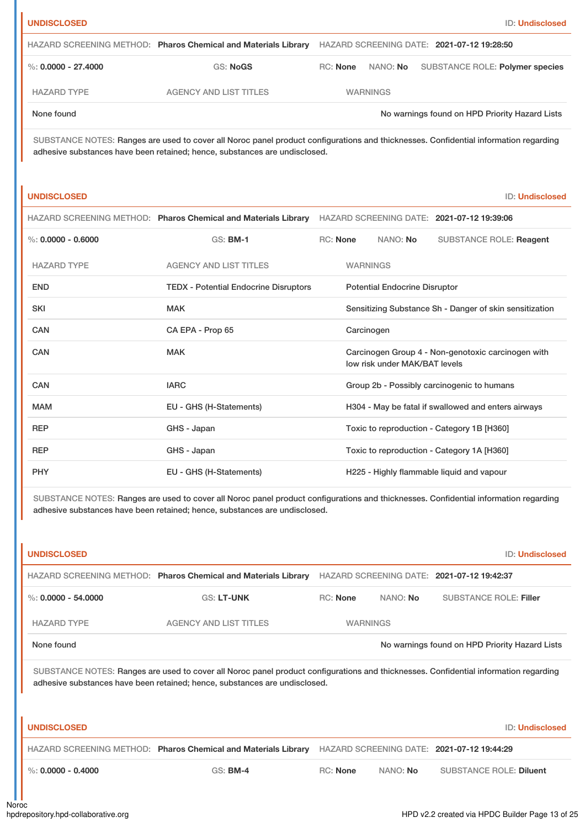| Ш |  |  |  |
|---|--|--|--|

| HAZARD SCREENING METHOD: Pharos Chemical and Materials Library HAZARD SCREENING DATE: 2021-07-12 19:28:50 |                               |          |                 |                                                |  |
|-----------------------------------------------------------------------------------------------------------|-------------------------------|----------|-----------------|------------------------------------------------|--|
| $\%$ : 0.0000 - 27.4000                                                                                   | GS: NoGS                      | RC: None |                 | NANO: No SUBSTANCE ROLE: Polymer species       |  |
| HAZARD TYPE                                                                                               | <b>AGENCY AND LIST TITLES</b> |          | <b>WARNINGS</b> |                                                |  |
| None found                                                                                                |                               |          |                 | No warnings found on HPD Priority Hazard Lists |  |

SUBSTANCE NOTES: Ranges are used to cover all Noroc panel product configurations and thicknesses. Confidential information regarding adhesive substances have been retained; hence, substances are undisclosed.

| т.<br>. INDP |  | ו ומפ |  |  |
|--------------|--|-------|--|--|
|              |  |       |  |  |
|              |  |       |  |  |

**ID: Undisclosed** 

|                      | HAZARD SCREENING METHOD: Pharos Chemical and Materials Library | HAZARD SCREENING DATE: 2021-07-12 19:39:06 |                 |                                      |                                                         |
|----------------------|----------------------------------------------------------------|--------------------------------------------|-----------------|--------------------------------------|---------------------------------------------------------|
| %: $0.0000 - 0.6000$ | <b>GS: BM-1</b>                                                | <b>RC: None</b>                            |                 | NANO: No                             | <b>SUBSTANCE ROLE: Reagent</b>                          |
| <b>HAZARD TYPE</b>   | <b>AGENCY AND LIST TITLES</b>                                  |                                            | <b>WARNINGS</b> |                                      |                                                         |
| <b>END</b>           | <b>TEDX - Potential Endocrine Disruptors</b>                   |                                            |                 | <b>Potential Endocrine Disruptor</b> |                                                         |
| <b>SKI</b>           | <b>MAK</b>                                                     |                                            |                 |                                      | Sensitizing Substance Sh - Danger of skin sensitization |
| CAN                  | CA EPA - Prop 65                                               |                                            | Carcinogen      |                                      |                                                         |
| CAN                  | <b>MAK</b>                                                     |                                            |                 | low risk under MAK/BAT levels        | Carcinogen Group 4 - Non-genotoxic carcinogen with      |
| CAN                  | <b>IARC</b>                                                    |                                            |                 |                                      | Group 2b - Possibly carcinogenic to humans              |
| <b>MAM</b>           | EU - GHS (H-Statements)                                        |                                            |                 |                                      | H304 - May be fatal if swallowed and enters airways     |
| <b>REP</b>           | GHS - Japan                                                    |                                            |                 |                                      | Toxic to reproduction - Category 1B [H360]              |
| <b>REP</b>           | GHS - Japan                                                    |                                            |                 |                                      | Toxic to reproduction - Category 1A [H360]              |
| <b>PHY</b>           | EU - GHS (H-Statements)                                        |                                            |                 |                                      | H225 - Highly flammable liquid and vapour               |

SUBSTANCE NOTES: Ranges are used to cover all Noroc panel product configurations and thicknesses. Confidential information regarding adhesive substances have been retained; hence, substances are undisclosed.

| <b>UNDISCLOSED</b>                                                                                                                                                                                                 |                                                                |                 |          | <b>ID: Undisclosed</b>                         |  |
|--------------------------------------------------------------------------------------------------------------------------------------------------------------------------------------------------------------------|----------------------------------------------------------------|-----------------|----------|------------------------------------------------|--|
|                                                                                                                                                                                                                    | HAZARD SCREENING METHOD: Pharos Chemical and Materials Library |                 |          | HAZARD SCREENING DATE: 2021-07-12 19:42:37     |  |
| %: $0.0000 - 54.0000$                                                                                                                                                                                              | <b>GS: LT-UNK</b>                                              | <b>RC: None</b> | NANO: No | <b>SUBSTANCE ROLE: Filler</b>                  |  |
| <b>HAZARD TYPE</b>                                                                                                                                                                                                 | <b>AGENCY AND LIST TITLES</b>                                  | <b>WARNINGS</b> |          |                                                |  |
| None found                                                                                                                                                                                                         |                                                                |                 |          | No warnings found on HPD Priority Hazard Lists |  |
| SUBSTANCE NOTES: Ranges are used to cover all Noroc panel product configurations and thicknesses. Confidential information regarding<br>adhesive substances have been retained; hence, substances are undisclosed. |                                                                |                 |          |                                                |  |
| <b>UNDISCLOSED</b>                                                                                                                                                                                                 |                                                                |                 |          | <b>ID: Undisclosed</b>                         |  |
|                                                                                                                                                                                                                    | HAZARD SCREENING METHOD: Pharos Chemical and Materials Library |                 |          | HAZARD SCREENING DATE: 2021-07-12 19:44:29     |  |
| $\%: 0.0000 - 0.4000$                                                                                                                                                                                              | <b>GS: BM-4</b>                                                | $RC:$ None      | NANO: No | <b>SUBSTANCE ROLE: Diluent</b>                 |  |
|                                                                                                                                                                                                                    |                                                                |                 |          |                                                |  |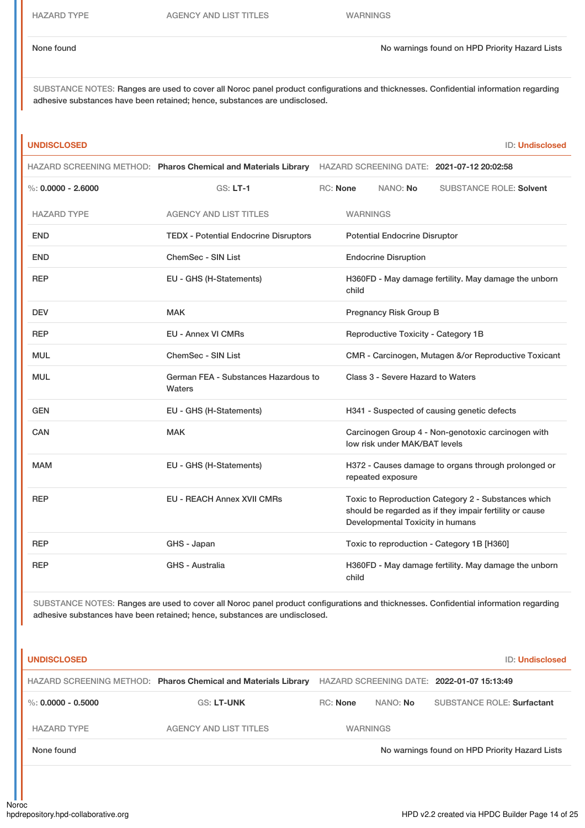SUBSTANCE NOTES: Ranges are used to cover all Noroc panel product configurations and thicknesses. Confidential information regarding adhesive substances have been retained; hence, substances are undisclosed.

| <b>UNDISCLOSED</b>   |                                                                                                           |                 |                 |                                      |                                                                                                                | <b>ID: Undisclosed</b> |
|----------------------|-----------------------------------------------------------------------------------------------------------|-----------------|-----------------|--------------------------------------|----------------------------------------------------------------------------------------------------------------|------------------------|
|                      | HAZARD SCREENING METHOD: Pharos Chemical and Materials Library HAZARD SCREENING DATE: 2021-07-12 20:02:58 |                 |                 |                                      |                                                                                                                |                        |
| %: $0.0000 - 2.6000$ | GS: LT-1                                                                                                  | <b>RC: None</b> |                 | NANO: No                             | <b>SUBSTANCE ROLE: Solvent</b>                                                                                 |                        |
| <b>HAZARD TYPE</b>   | <b>AGENCY AND LIST TITLES</b>                                                                             |                 | <b>WARNINGS</b> |                                      |                                                                                                                |                        |
| <b>END</b>           | <b>TEDX - Potential Endocrine Disruptors</b>                                                              |                 |                 | <b>Potential Endocrine Disruptor</b> |                                                                                                                |                        |
| <b>END</b>           | <b>ChemSec - SIN List</b>                                                                                 |                 |                 | <b>Endocrine Disruption</b>          |                                                                                                                |                        |
| <b>REP</b>           | EU - GHS (H-Statements)                                                                                   |                 | child           |                                      | H360FD - May damage fertility. May damage the unborn                                                           |                        |
| <b>DEV</b>           | <b>MAK</b>                                                                                                |                 |                 | Pregnancy Risk Group B               |                                                                                                                |                        |
| <b>REP</b>           | <b>EU - Annex VI CMRs</b>                                                                                 |                 |                 | Reproductive Toxicity - Category 1B  |                                                                                                                |                        |
| <b>MUL</b>           | <b>ChemSec - SIN List</b>                                                                                 |                 |                 |                                      | CMR - Carcinogen, Mutagen &/or Reproductive Toxicant                                                           |                        |
| <b>MUL</b>           | German FEA - Substances Hazardous to<br>Waters                                                            |                 |                 | Class 3 - Severe Hazard to Waters    |                                                                                                                |                        |
| <b>GEN</b>           | EU - GHS (H-Statements)                                                                                   |                 |                 |                                      | H341 - Suspected of causing genetic defects                                                                    |                        |
| <b>CAN</b>           | <b>MAK</b>                                                                                                |                 |                 | low risk under MAK/BAT levels        | Carcinogen Group 4 - Non-genotoxic carcinogen with                                                             |                        |
| <b>MAM</b>           | EU - GHS (H-Statements)                                                                                   |                 |                 | repeated exposure                    | H372 - Causes damage to organs through prolonged or                                                            |                        |
| <b>REP</b>           | <b>EU - REACH Annex XVII CMRs</b>                                                                         |                 |                 | Developmental Toxicity in humans     | Toxic to Reproduction Category 2 - Substances which<br>should be regarded as if they impair fertility or cause |                        |
| <b>REP</b>           | GHS - Japan                                                                                               |                 |                 |                                      | Toxic to reproduction - Category 1B [H360]                                                                     |                        |
| <b>REP</b>           | GHS - Australia                                                                                           |                 | child           |                                      | H360FD - May damage fertility. May damage the unborn                                                           |                        |

SUBSTANCE NOTES: Ranges are used to cover all Noroc panel product configurations and thicknesses. Confidential information regarding adhesive substances have been retained; hence, substances are undisclosed.

| <b>UNDISCLOSED</b>     |                                                                |                 |          | ID: Undisclosed                                |
|------------------------|----------------------------------------------------------------|-----------------|----------|------------------------------------------------|
|                        | HAZARD SCREENING METHOD: Pharos Chemical and Materials Library |                 |          | HAZARD SCREENING DATE: 2022-01-07 15:13:49     |
| $\%$ : 0.0000 - 0.5000 | <b>GS: LT-UNK</b>                                              | RC: None        | NANO: No | <b>SUBSTANCE ROLE: Surfactant</b>              |
| <b>HAZARD TYPE</b>     | <b>AGENCY AND LIST TITLES</b>                                  | <b>WARNINGS</b> |          |                                                |
| None found             |                                                                |                 |          | No warnings found on HPD Priority Hazard Lists |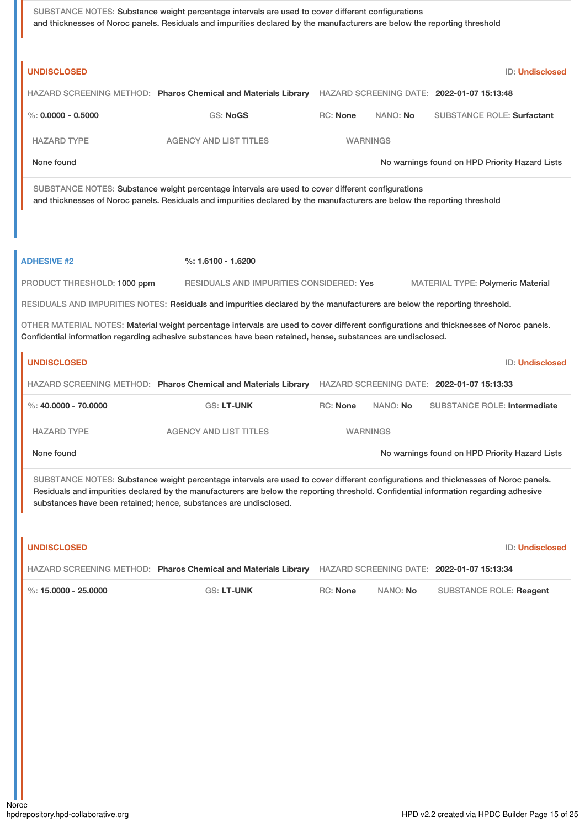SUBSTANCE NOTES: Substance weight percentage intervals are used to cover different configurations and thicknesses of Noroc panels. Residuals and impurities declared by the manufacturers are below the reporting threshold

| <b>UNDISCLOSED</b>          |                                                                                                                                                                                                                                                                                                                                                  |                 |                 | <b>ID: Undisclosed</b>                         |
|-----------------------------|--------------------------------------------------------------------------------------------------------------------------------------------------------------------------------------------------------------------------------------------------------------------------------------------------------------------------------------------------|-----------------|-----------------|------------------------------------------------|
|                             | HAZARD SCREENING METHOD: Pharos Chemical and Materials Library HAZARD SCREENING DATE: 2022-01-07 15:13:48                                                                                                                                                                                                                                        |                 |                 |                                                |
| %: $0.0000 - 0.5000$        | <b>GS: NoGS</b>                                                                                                                                                                                                                                                                                                                                  | <b>RC: None</b> | NANO: No        | <b>SUBSTANCE ROLE: Surfactant</b>              |
| <b>HAZARD TYPE</b>          | <b>AGENCY AND LIST TITLES</b>                                                                                                                                                                                                                                                                                                                    |                 | <b>WARNINGS</b> |                                                |
| None found                  |                                                                                                                                                                                                                                                                                                                                                  |                 |                 | No warnings found on HPD Priority Hazard Lists |
|                             | SUBSTANCE NOTES: Substance weight percentage intervals are used to cover different configurations<br>and thicknesses of Noroc panels. Residuals and impurities declared by the manufacturers are below the reporting threshold                                                                                                                   |                 |                 |                                                |
| <b>ADHESIVE #2</b>          | %: 1.6100 - 1.6200                                                                                                                                                                                                                                                                                                                               |                 |                 |                                                |
| PRODUCT THRESHOLD: 1000 ppm | RESIDUALS AND IMPURITIES CONSIDERED: Yes                                                                                                                                                                                                                                                                                                         |                 |                 | <b>MATERIAL TYPE: Polymeric Material</b>       |
|                             | RESIDUALS AND IMPURITIES NOTES: Residuals and impurities declared by the manufacturers are below the reporting threshold.                                                                                                                                                                                                                        |                 |                 |                                                |
|                             | OTHER MATERIAL NOTES: Material weight percentage intervals are used to cover different configurations and thicknesses of Noroc panels.<br>Confidential information regarding adhesive substances have been retained, hense, substances are undisclosed.                                                                                          |                 |                 |                                                |
| <b>UNDISCLOSED</b>          |                                                                                                                                                                                                                                                                                                                                                  |                 |                 | <b>ID: Undisclosed</b>                         |
|                             | HAZARD SCREENING METHOD: Pharos Chemical and Materials Library HAZARD SCREENING DATE: 2022-01-07 15:13:33                                                                                                                                                                                                                                        |                 |                 |                                                |
| %: $40,0000 - 70,0000$      | <b>GS: LT-UNK</b>                                                                                                                                                                                                                                                                                                                                | RC: None        | NANO: No        | <b>SUBSTANCE ROLE: Intermediate</b>            |
| <b>HAZARD TYPE</b>          | <b>AGENCY AND LIST TITLES</b>                                                                                                                                                                                                                                                                                                                    |                 | <b>WARNINGS</b> |                                                |
| None found                  |                                                                                                                                                                                                                                                                                                                                                  |                 |                 | No warnings found on HPD Priority Hazard Lists |
|                             | SUBSTANCE NOTES: Substance weight percentage intervals are used to cover different configurations and thicknesses of Noroc panels.<br>Residuals and impurities declared by the manufacturers are below the reporting threshold. Confidential information regarding adhesive<br>substances have been retained; hence, substances are undisclosed. |                 |                 |                                                |
| <b>UNDISCLOSED</b>          |                                                                                                                                                                                                                                                                                                                                                  |                 |                 | <b>ID: Undisclosed</b>                         |
|                             | HAZARD SCREENING METHOD: Pharos Chemical and Materials Library                                                                                                                                                                                                                                                                                   |                 |                 | HAZARD SCREENING DATE: 2022-01-07 15:13:34     |
| %: $15.0000 - 25.0000$      | GS: LT-UNK                                                                                                                                                                                                                                                                                                                                       | RC: None        | NANO: No        | <b>SUBSTANCE ROLE: Reagent</b>                 |
|                             |                                                                                                                                                                                                                                                                                                                                                  |                 |                 |                                                |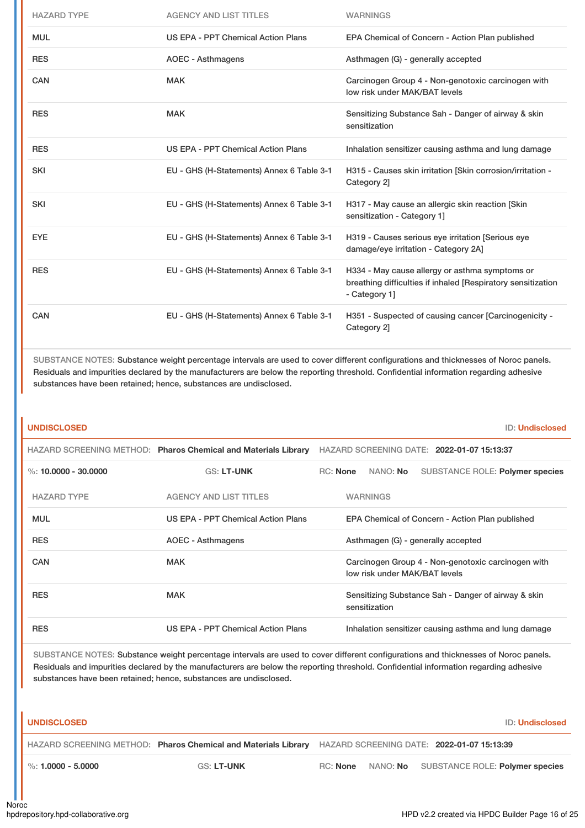| <b>HAZARD TYPE</b> | <b>AGENCY AND LIST TITLES</b>             | <b>WARNINGS</b>                                                                                                                 |
|--------------------|-------------------------------------------|---------------------------------------------------------------------------------------------------------------------------------|
| <b>MUL</b>         | US EPA - PPT Chemical Action Plans        | EPA Chemical of Concern - Action Plan published                                                                                 |
| <b>RES</b>         | <b>AOEC - Asthmagens</b>                  | Asthmagen (G) - generally accepted                                                                                              |
| <b>CAN</b>         | <b>MAK</b>                                | Carcinogen Group 4 - Non-genotoxic carcinogen with<br>low risk under MAK/BAT levels                                             |
| <b>RES</b>         | <b>MAK</b>                                | Sensitizing Substance Sah - Danger of airway & skin<br>sensitization                                                            |
| <b>RES</b>         | US EPA - PPT Chemical Action Plans        | Inhalation sensitizer causing asthma and lung damage                                                                            |
| <b>SKI</b>         | EU - GHS (H-Statements) Annex 6 Table 3-1 | H315 - Causes skin irritation [Skin corrosion/irritation -<br>Category 2]                                                       |
| <b>SKI</b>         | EU - GHS (H-Statements) Annex 6 Table 3-1 | H317 - May cause an allergic skin reaction [Skin]<br>sensitization - Category 1]                                                |
| <b>EYE</b>         | EU - GHS (H-Statements) Annex 6 Table 3-1 | H319 - Causes serious eye irritation [Serious eye<br>damage/eye irritation - Category 2A]                                       |
| <b>RES</b>         | EU - GHS (H-Statements) Annex 6 Table 3-1 | H334 - May cause allergy or asthma symptoms or<br>breathing difficulties if inhaled [Respiratory sensitization<br>- Category 1] |
| CAN                | EU - GHS (H-Statements) Annex 6 Table 3-1 | H351 - Suspected of causing cancer [Carcinogenicity -<br>Category 2]                                                            |

SUBSTANCE NOTES: Substance weight percentage intervals are used to cover different configurations and thicknesses of Noroc panels. Residuals and impurities declared by the manufacturers are below the reporting threshold. Confidential information regarding adhesive substances have been retained; hence, substances are undisclosed.

| <b>UNDISCLOSED</b>     |                                                                | <b>ID: Undisclosed</b>                                                              |
|------------------------|----------------------------------------------------------------|-------------------------------------------------------------------------------------|
|                        | HAZARD SCREENING METHOD: Pharos Chemical and Materials Library | HAZARD SCREENING DATE: 2022-01-07 15:13:37                                          |
| %: $10,0000 - 30,0000$ | <b>GS: LT-UNK</b>                                              | RC: None<br>NANO: No<br>SUBSTANCE ROLE: Polymer species                             |
| <b>HAZARD TYPE</b>     | <b>AGENCY AND LIST TITLES</b>                                  | <b>WARNINGS</b>                                                                     |
| <b>MUL</b>             | US EPA - PPT Chemical Action Plans                             | EPA Chemical of Concern - Action Plan published                                     |
| <b>RES</b>             | AOEC - Asthmagens                                              | Asthmagen (G) - generally accepted                                                  |
| <b>CAN</b>             | <b>MAK</b>                                                     | Carcinogen Group 4 - Non-genotoxic carcinogen with<br>low risk under MAK/BAT levels |
| <b>RES</b>             | <b>MAK</b>                                                     | Sensitizing Substance Sah - Danger of airway & skin<br>sensitization                |
| <b>RES</b>             | US EPA - PPT Chemical Action Plans                             | Inhalation sensitizer causing asthma and lung damage                                |

SUBSTANCE NOTES: Substance weight percentage intervals are used to cover different configurations and thicknesses of Noroc panels. Residuals and impurities declared by the manufacturers are below the reporting threshold. Confidential information regarding adhesive substances have been retained; hence, substances are undisclosed.

| <b>UNDISCLOSED</b>                                                                                        |                   |                 | <b>ID: Undisclosed</b>                   |
|-----------------------------------------------------------------------------------------------------------|-------------------|-----------------|------------------------------------------|
| HAZARD SCREENING METHOD: Pharos Chemical and Materials Library HAZARD SCREENING DATE: 2022-01-07 15:13:39 |                   |                 |                                          |
| $\%$ : 1.0000 - 5.0000                                                                                    | <b>GS: LT-UNK</b> | RC: <b>None</b> | NANO: No SUBSTANCE ROLE: Polymer species |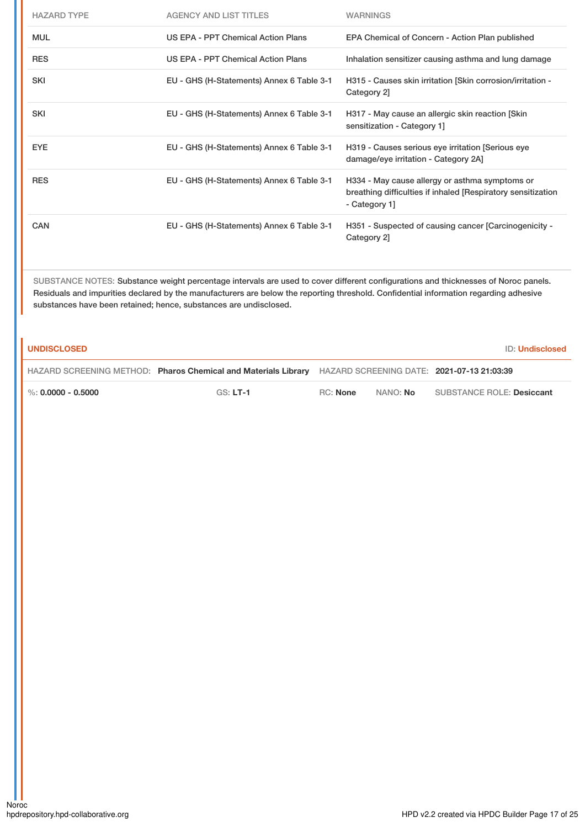| <b>HAZARD TYPE</b> | <b>AGENCY AND LIST TITLES</b>             | <b>WARNINGS</b>                                                                                                                 |
|--------------------|-------------------------------------------|---------------------------------------------------------------------------------------------------------------------------------|
| <b>MUL</b>         | US EPA - PPT Chemical Action Plans        | EPA Chemical of Concern - Action Plan published                                                                                 |
| <b>RES</b>         | US EPA - PPT Chemical Action Plans        | Inhalation sensitizer causing asthma and lung damage                                                                            |
| <b>SKI</b>         | EU - GHS (H-Statements) Annex 6 Table 3-1 | H315 - Causes skin irritation [Skin corrosion/irritation -<br>Category 2]                                                       |
| <b>SKI</b>         | EU - GHS (H-Statements) Annex 6 Table 3-1 | H317 - May cause an allergic skin reaction [Skin]<br>sensitization - Category 1]                                                |
| <b>EYE</b>         | EU - GHS (H-Statements) Annex 6 Table 3-1 | H319 - Causes serious eye irritation [Serious eye<br>damage/eye irritation - Category 2A]                                       |
| <b>RES</b>         | EU - GHS (H-Statements) Annex 6 Table 3-1 | H334 - May cause allergy or asthma symptoms or<br>breathing difficulties if inhaled [Respiratory sensitization<br>- Category 1] |
| CAN                | EU - GHS (H-Statements) Annex 6 Table 3-1 | H351 - Suspected of causing cancer [Carcinogenicity -<br>Category 2]                                                            |

SUBSTANCE NOTES: Substance weight percentage intervals are used to cover different configurations and thicknesses of Noroc panels. Residuals and impurities declared by the manufacturers are below the reporting threshold. Confidential information regarding adhesive substances have been retained; hence, substances are undisclosed.

| <b>UNDISCLOSED</b>               |                                                                                                           |                 |                 | <b>ID: Undisclosed</b>           |
|----------------------------------|-----------------------------------------------------------------------------------------------------------|-----------------|-----------------|----------------------------------|
|                                  | HAZARD SCREENING METHOD: Pharos Chemical and Materials Library HAZARD SCREENING DATE: 2021-07-13 21:03:39 |                 |                 |                                  |
| $\frac{1}{2}$ %: 0.0000 - 0.5000 | $GS: LT-1$                                                                                                | <b>RC:</b> None | NANO: <b>No</b> | <b>SUBSTANCE ROLE: Desiccant</b> |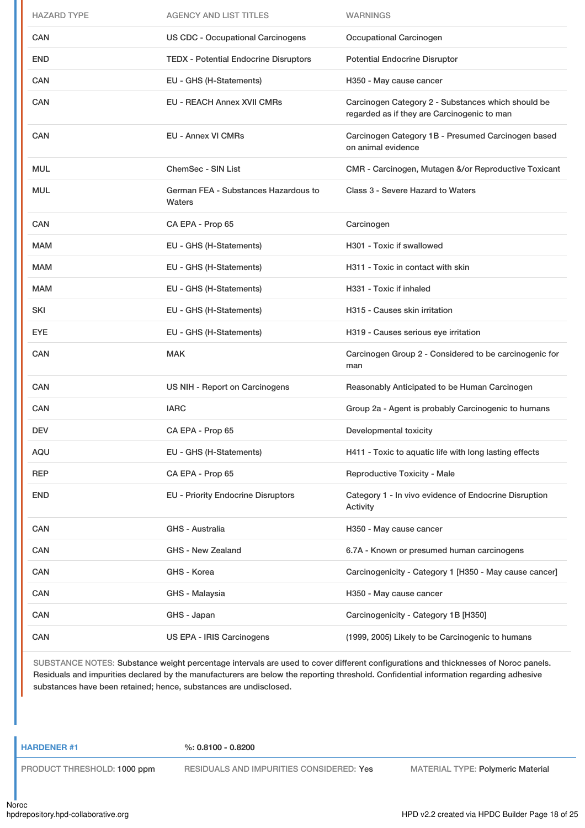| <b>HAZARD TYPE</b> | <b>AGENCY AND LIST TITLES</b>                  | <b>WARNINGS</b>                                                                                   |
|--------------------|------------------------------------------------|---------------------------------------------------------------------------------------------------|
| CAN                | <b>US CDC - Occupational Carcinogens</b>       | Occupational Carcinogen                                                                           |
| <b>END</b>         | <b>TEDX - Potential Endocrine Disruptors</b>   | <b>Potential Endocrine Disruptor</b>                                                              |
| <b>CAN</b>         | EU - GHS (H-Statements)                        | H350 - May cause cancer                                                                           |
| CAN                | <b>EU - REACH Annex XVII CMRs</b>              | Carcinogen Category 2 - Substances which should be<br>regarded as if they are Carcinogenic to man |
| <b>CAN</b>         | <b>EU - Annex VI CMRs</b>                      | Carcinogen Category 1B - Presumed Carcinogen based<br>on animal evidence                          |
| <b>MUL</b>         | <b>ChemSec - SIN List</b>                      | CMR - Carcinogen, Mutagen &/or Reproductive Toxicant                                              |
| MUL                | German FEA - Substances Hazardous to<br>Waters | Class 3 - Severe Hazard to Waters                                                                 |
| <b>CAN</b>         | CA EPA - Prop 65                               | Carcinogen                                                                                        |
| <b>MAM</b>         | EU - GHS (H-Statements)                        | H301 - Toxic if swallowed                                                                         |
| <b>MAM</b>         | EU - GHS (H-Statements)                        | H311 - Toxic in contact with skin                                                                 |
| <b>MAM</b>         | EU - GHS (H-Statements)                        | H331 - Toxic if inhaled                                                                           |
| SKI                | EU - GHS (H-Statements)                        | H315 - Causes skin irritation                                                                     |
| <b>EYE</b>         | EU - GHS (H-Statements)                        | H319 - Causes serious eye irritation                                                              |
| CAN                | <b>MAK</b>                                     | Carcinogen Group 2 - Considered to be carcinogenic for<br>man                                     |
| <b>CAN</b>         | US NIH - Report on Carcinogens                 | Reasonably Anticipated to be Human Carcinogen                                                     |
| <b>CAN</b>         | <b>IARC</b>                                    | Group 2a - Agent is probably Carcinogenic to humans                                               |
| <b>DEV</b>         | CA EPA - Prop 65                               | Developmental toxicity                                                                            |
| AQU                | EU - GHS (H-Statements)                        | H411 - Toxic to aquatic life with long lasting effects                                            |
| REP                | CA EPA - Prop 65                               | <b>Reproductive Toxicity - Male</b>                                                               |
| END                | <b>EU - Priority Endocrine Disruptors</b>      | Category 1 - In vivo evidence of Endocrine Disruption<br>Activity                                 |
| CAN                | <b>GHS - Australia</b>                         | H350 - May cause cancer                                                                           |
| CAN                | GHS - New Zealand                              | 6.7A - Known or presumed human carcinogens                                                        |
| CAN                | GHS - Korea                                    | Carcinogenicity - Category 1 [H350 - May cause cancer]                                            |
| CAN                | GHS - Malaysia                                 | H350 - May cause cancer                                                                           |
| CAN                | GHS - Japan                                    | Carcinogenicity - Category 1B [H350]                                                              |
| CAN                | US EPA - IRIS Carcinogens                      | (1999, 2005) Likely to be Carcinogenic to humans                                                  |

SUBSTANCE NOTES: Substance weight percentage intervals are used to cover different configurations and thicknesses of Noroc panels. Residuals and impurities declared by the manufacturers are below the reporting threshold. Confidential information regarding adhesive substances have been retained; hence, substances are undisclosed.

**HARDENER #1 %: 0.8100 - 0.8200**

PRODUCT THRESHOLD: 1000 ppm RESIDUALS AND IMPURITIES CONSIDERED: Yes MATERIAL TYPE: Polymeric Material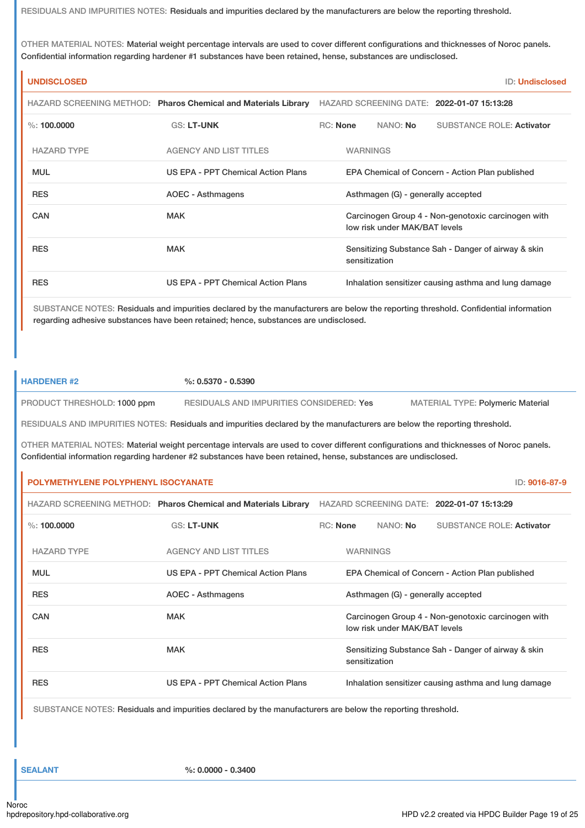RESIDUALS AND IMPURITIES NOTES: Residuals and impurities declared by the manufacturers are below the reporting threshold.

OTHER MATERIAL NOTES: Material weight percentage intervals are used to cover different configurations and thicknesses of Noroc panels. Confidential information regarding hardener #1 substances have been retained, hense, substances are undisclosed.

| <b>UNDISCLOSED</b> |                                                                |          |                                    | <b>ID: Undisclosed</b>                               |
|--------------------|----------------------------------------------------------------|----------|------------------------------------|------------------------------------------------------|
|                    | HAZARD SCREENING METHOD: Pharos Chemical and Materials Library |          |                                    | HAZARD SCREENING DATE: 2022-01-07 15:13:28           |
| $\%$ : 100,0000    | <b>GS: LT-UNK</b>                                              | RC: None | NANO: <b>No</b>                    | <b>SUBSTANCE ROLE: Activator</b>                     |
| <b>HAZARD TYPE</b> | <b>AGENCY AND LIST TITLES</b>                                  |          | <b>WARNINGS</b>                    |                                                      |
| <b>MUL</b>         | US EPA - PPT Chemical Action Plans                             |          |                                    | EPA Chemical of Concern - Action Plan published      |
| <b>RES</b>         | AOEC - Asthmagens                                              |          | Asthmagen (G) - generally accepted |                                                      |
| <b>CAN</b>         | <b>MAK</b>                                                     |          | low risk under MAK/BAT levels      | Carcinogen Group 4 - Non-genotoxic carcinogen with   |
| <b>RES</b>         | <b>MAK</b>                                                     |          | sensitization                      | Sensitizing Substance Sah - Danger of airway & skin  |
| <b>RES</b>         | US EPA - PPT Chemical Action Plans                             |          |                                    | Inhalation sensitizer causing asthma and lung damage |

SUBSTANCE NOTES: Residuals and impurities declared by the manufacturers are below the reporting threshold. Confidential information regarding adhesive substances have been retained; hence, substances are undisclosed.

**HARDENER #2 %: 0.5370 - 0.5390**

PRODUCT THRESHOLD: 1000 ppm RESIDUALS AND IMPURITIES CONSIDERED: Yes MATERIAL TYPE: Polymeric Material

RESIDUALS AND IMPURITIES NOTES: Residuals and impurities declared by the manufacturers are below the reporting threshold.

OTHER MATERIAL NOTES: Material weight percentage intervals are used to cover different configurations and thicknesses of Noroc panels. Confidential information regarding hardener #2 substances have been retained, hense, substances are undisclosed.

## **POLYMETHYLENE POLYPHENYL ISOCYANATE** ID: **9016-87-9**

|                    | HAZARD SCREENING METHOD: Pharos Chemical and Materials Library |            |                 |                                    | HAZARD SCREENING DATE: 2022-01-07 15:13:29           |
|--------------------|----------------------------------------------------------------|------------|-----------------|------------------------------------|------------------------------------------------------|
| $\%$ : 100.0000    | <b>GS: LT-UNK</b>                                              | $RC:$ None |                 | NANO: <b>No</b>                    | SUBSTANCE ROLE: Activator                            |
| <b>HAZARD TYPE</b> | <b>AGENCY AND LIST TITLES</b>                                  |            | <b>WARNINGS</b> |                                    |                                                      |
| <b>MUL</b>         | US EPA - PPT Chemical Action Plans                             |            |                 |                                    | EPA Chemical of Concern - Action Plan published      |
| <b>RES</b>         | AOEC - Asthmagens                                              |            |                 | Asthmagen (G) - generally accepted |                                                      |
| CAN                | <b>MAK</b>                                                     |            |                 | low risk under MAK/BAT levels      | Carcinogen Group 4 - Non-genotoxic carcinogen with   |
| <b>RES</b>         | <b>MAK</b>                                                     |            | sensitization   |                                    | Sensitizing Substance Sah - Danger of airway & skin  |
| <b>RES</b>         | US EPA - PPT Chemical Action Plans                             |            |                 |                                    | Inhalation sensitizer causing asthma and lung damage |

SUBSTANCE NOTES: Residuals and impurities declared by the manufacturers are below the reporting threshold.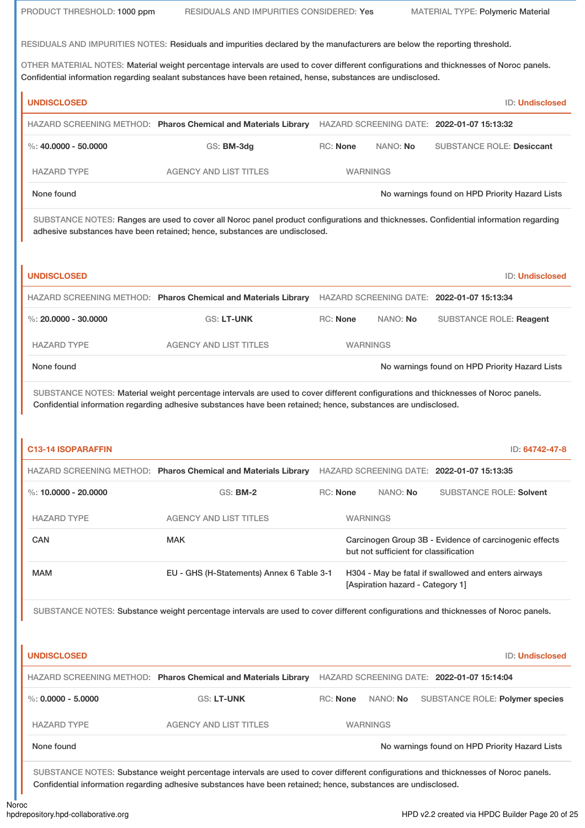PRODUCT THRESHOLD: 1000 ppm RESIDUALS AND IMPURITIES CONSIDERED: Yes MATERIAL TYPE: Polymeric Material

RESIDUALS AND IMPURITIES NOTES: Residuals and impurities declared by the manufacturers are below the reporting threshold.

OTHER MATERIAL NOTES: Material weight percentage intervals are used to cover different configurations and thicknesses of Noroc panels. Confidential information regarding sealant substances have been retained, hense, substances are undisclosed.

|                           | HAZARD SCREENING METHOD: Pharos Chemical and Materials Library                                                                                                                                                                                     |                 |                                       | HAZARD SCREENING DATE: 2022-01-07 15:13:32                                   |                        |
|---------------------------|----------------------------------------------------------------------------------------------------------------------------------------------------------------------------------------------------------------------------------------------------|-----------------|---------------------------------------|------------------------------------------------------------------------------|------------------------|
| %: $40.0000 - 50.0000$    | GS: BM-3dg                                                                                                                                                                                                                                         | <b>RC: None</b> | NANO: No                              | <b>SUBSTANCE ROLE: Desiccant</b>                                             |                        |
| <b>HAZARD TYPE</b>        | <b>AGENCY AND LIST TITLES</b>                                                                                                                                                                                                                      | <b>WARNINGS</b> |                                       |                                                                              |                        |
| None found                |                                                                                                                                                                                                                                                    |                 |                                       | No warnings found on HPD Priority Hazard Lists                               |                        |
|                           | SUBSTANCE NOTES: Ranges are used to cover all Noroc panel product configurations and thicknesses. Confidential information regarding<br>adhesive substances have been retained; hence, substances are undisclosed.                                 |                 |                                       |                                                                              |                        |
| <b>UNDISCLOSED</b>        |                                                                                                                                                                                                                                                    |                 |                                       |                                                                              | <b>ID: Undisclosed</b> |
|                           | HAZARD SCREENING METHOD: Pharos Chemical and Materials Library HAZARD SCREENING DATE: 2022-01-07 15:13:34                                                                                                                                          |                 |                                       |                                                                              |                        |
| %: $20.0000 - 30.0000$    | <b>GS: LT-UNK</b>                                                                                                                                                                                                                                  | <b>RC: None</b> | NANO: No                              | <b>SUBSTANCE ROLE: Reagent</b>                                               |                        |
| <b>HAZARD TYPE</b>        | <b>AGENCY AND LIST TITLES</b>                                                                                                                                                                                                                      | <b>WARNINGS</b> |                                       |                                                                              |                        |
| None found                |                                                                                                                                                                                                                                                    |                 |                                       | No warnings found on HPD Priority Hazard Lists                               |                        |
|                           | SUBSTANCE NOTES: Material weight percentage intervals are used to cover different configurations and thicknesses of Noroc panels.<br>Confidential information regarding adhesive substances have been retained; hence, substances are undisclosed. |                 |                                       |                                                                              |                        |
| <b>C13-14 ISOPARAFFIN</b> |                                                                                                                                                                                                                                                    |                 |                                       |                                                                              | ID: 64742-47-8         |
| %: 10.0000 - 20.0000      | HAZARD SCREENING METHOD: Pharos Chemical and Materials Library<br><b>GS: BM-2</b>                                                                                                                                                                  | <b>RC: None</b> | NANO: No                              | HAZARD SCREENING DATE: 2022-01-07 15:13:35<br><b>SUBSTANCE ROLE: Solvent</b> |                        |
|                           | <b>AGENCY AND LIST TITLES</b>                                                                                                                                                                                                                      | <b>WARNINGS</b> |                                       |                                                                              |                        |
| <b>HAZARD TYPE</b><br>CAN | <b>MAK</b>                                                                                                                                                                                                                                         |                 | but not sufficient for classification | Carcinogen Group 3B - Evidence of carcinogenic effects                       |                        |
| <b>MAM</b>                | EU - GHS (H-Statements) Annex 6 Table 3-1                                                                                                                                                                                                          |                 | [Aspiration hazard - Category 1]      | H304 - May be fatal if swallowed and enters airways                          |                        |
|                           | SUBSTANCE NOTES: Substance weight percentage intervals are used to cover different configurations and thicknesses of Noroc panels.                                                                                                                 |                 |                                       |                                                                              |                        |
| <b>UNDISCLOSED</b>        |                                                                                                                                                                                                                                                    |                 |                                       |                                                                              |                        |
|                           | HAZARD SCREENING METHOD: Pharos Chemical and Materials Library                                                                                                                                                                                     |                 |                                       | HAZARD SCREENING DATE: 2022-01-07 15:14:04                                   | <b>ID: Undisclosed</b> |
| %: $0.0000 - 5.0000$      | <b>GS: LT-UNK</b>                                                                                                                                                                                                                                  | <b>RC: None</b> | NANO: No                              | SUBSTANCE ROLE: Polymer species                                              |                        |
| <b>HAZARD TYPE</b>        | <b>AGENCY AND LIST TITLES</b>                                                                                                                                                                                                                      | <b>WARNINGS</b> |                                       |                                                                              |                        |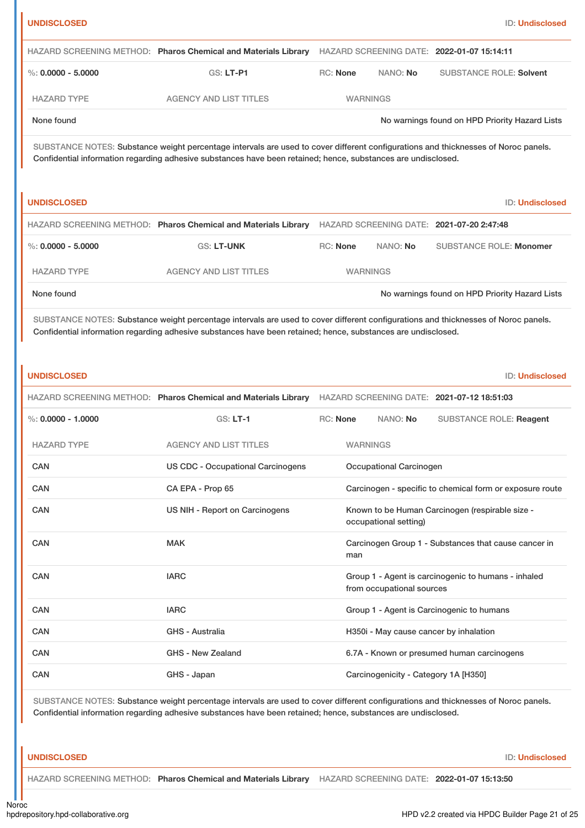| <b>UNDISCLOSED</b>     |                                                                                                                                                                                                                                                     |                 |                           | ID: Undisclosed                                          |
|------------------------|-----------------------------------------------------------------------------------------------------------------------------------------------------------------------------------------------------------------------------------------------------|-----------------|---------------------------|----------------------------------------------------------|
|                        | HAZARD SCREENING METHOD: Pharos Chemical and Materials Library                                                                                                                                                                                      |                 |                           | HAZARD SCREENING DATE: 2022-01-07 15:14:11               |
| $\%: 0.0000 - 5.0000$  | GS: LT-P1                                                                                                                                                                                                                                           | <b>RC: None</b> | NANO: No                  | <b>SUBSTANCE ROLE: Solvent</b>                           |
| <b>HAZARD TYPE</b>     | <b>AGENCY AND LIST TITLES</b>                                                                                                                                                                                                                       | <b>WARNINGS</b> |                           |                                                          |
| None found             |                                                                                                                                                                                                                                                     |                 |                           | No warnings found on HPD Priority Hazard Lists           |
|                        | SUBSTANCE NOTES: Substance weight percentage intervals are used to cover different configurations and thicknesses of Noroc panels.<br>Confidential information regarding adhesive substances have been retained; hence, substances are undisclosed. |                 |                           |                                                          |
| <b>UNDISCLOSED</b>     |                                                                                                                                                                                                                                                     |                 |                           | ID: Undisclosed                                          |
|                        | HAZARD SCREENING METHOD: Pharos Chemical and Materials Library HAZARD SCREENING DATE: 2021-07-20 2:47:48                                                                                                                                            |                 |                           |                                                          |
| $\%: 0.0000 - 5.0000$  | <b>GS: LT-UNK</b>                                                                                                                                                                                                                                   | RC: None        | NANO: No                  | <b>SUBSTANCE ROLE: Monomer</b>                           |
| <b>HAZARD TYPE</b>     | <b>AGENCY AND LIST TITLES</b>                                                                                                                                                                                                                       | <b>WARNINGS</b> |                           |                                                          |
| None found             |                                                                                                                                                                                                                                                     |                 |                           | No warnings found on HPD Priority Hazard Lists           |
|                        | Confidential information regarding adhesive substances have been retained; hence, substances are undisclosed.                                                                                                                                       |                 |                           |                                                          |
| <b>UNDISCLOSED</b>     | HAZARD SCREENING METHOD: Pharos Chemical and Materials Library HAZARD SCREENING DATE: 2021-07-12 18:51:03                                                                                                                                           |                 |                           | ID: Undisclosed                                          |
| $\%$ : 0.0000 - 1.0000 | <b>GS: LT-1</b>                                                                                                                                                                                                                                     | <b>RC: None</b> | NANO: No                  | <b>SUBSTANCE ROLE: Reagent</b>                           |
| <b>HAZARD TYPE</b>     | <b>AGENCY AND LIST TITLES</b>                                                                                                                                                                                                                       | <b>WARNINGS</b> |                           |                                                          |
| CAN                    | <b>US CDC - Occupational Carcinogens</b>                                                                                                                                                                                                            |                 | Occupational Carcinogen   |                                                          |
| CAN                    | CA EPA - Prop 65                                                                                                                                                                                                                                    |                 |                           | Carcinogen - specific to chemical form or exposure route |
| <b>CAN</b>             | US NIH - Report on Carcinogens                                                                                                                                                                                                                      |                 | occupational setting)     | Known to be Human Carcinogen (respirable size -          |
| CAN                    | <b>MAK</b>                                                                                                                                                                                                                                          | man             |                           | Carcinogen Group 1 - Substances that cause cancer in     |
| <b>CAN</b>             | <b>IARC</b>                                                                                                                                                                                                                                         |                 | from occupational sources | Group 1 - Agent is carcinogenic to humans - inhaled      |
| CAN                    | <b>IARC</b>                                                                                                                                                                                                                                         |                 |                           | Group 1 - Agent is Carcinogenic to humans                |
| CAN                    | <b>GHS - Australia</b>                                                                                                                                                                                                                              |                 |                           | H350i - May cause cancer by inhalation                   |
| CAN                    | GHS - New Zealand                                                                                                                                                                                                                                   |                 |                           | 6.7A - Known or presumed human carcinogens               |

SUBSTANCE NOTES: Substance weight percentage intervals are used to cover different configurations and thicknesses of Noroc panels. Confidential information regarding adhesive substances have been retained; hence, substances are undisclosed.

**UNDISCLOSED** ID: **Undisclosed**

HAZARD SCREENING METHOD: **Pharos Chemical and Materials Library** HAZARD SCREENING DATE: **2022-01-07 15:13:50**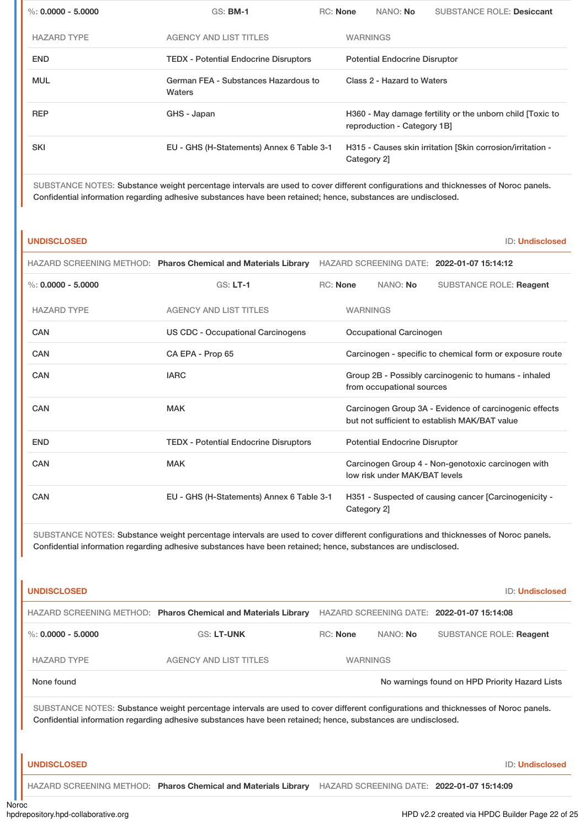| %: $0.0000 - 5.0000$ | <b>GS: BM-1</b>                                | RC: None |                                      | NANO: No                    | <b>SUBSTANCE ROLE: Desiccant</b>                           |
|----------------------|------------------------------------------------|----------|--------------------------------------|-----------------------------|------------------------------------------------------------|
| <b>HAZARD TYPE</b>   | <b>AGENCY AND LIST TITLES</b>                  |          | <b>WARNINGS</b>                      |                             |                                                            |
| <b>END</b>           | <b>TEDX - Potential Endocrine Disruptors</b>   |          | <b>Potential Endocrine Disruptor</b> |                             |                                                            |
| <b>MUL</b>           | German FEA - Substances Hazardous to<br>Waters |          | Class 2 - Hazard to Waters           |                             |                                                            |
| <b>REP</b>           | GHS - Japan                                    |          |                                      | reproduction - Category 1B] | H360 - May damage fertility or the unborn child [Toxic to  |
| <b>SKI</b>           | EU - GHS (H-Statements) Annex 6 Table 3-1      |          | Category 2]                          |                             | H315 - Causes skin irritation [Skin corrosion/irritation - |
|                      |                                                |          |                                      |                             |                                                            |

SUBSTANCE NOTES: Substance weight percentage intervals are used to cover different configurations and thicknesses of Noroc panels. Confidential information regarding adhesive substances have been retained; hence, substances are undisclosed.

## **UNDISCLOSED** ID: **Undisclosed**

|                      | HAZARD SCREENING METHOD: Pharos Chemical and Materials Library |                                                                                   |                                                          |                               | HAZARD SCREENING DATE: 2022-01-07 15:14:12                                                              |
|----------------------|----------------------------------------------------------------|-----------------------------------------------------------------------------------|----------------------------------------------------------|-------------------------------|---------------------------------------------------------------------------------------------------------|
| %: $0.0000 - 5.0000$ | $GS: LT-1$                                                     | <b>RC:</b> None                                                                   |                                                          | NANO: No                      | <b>SUBSTANCE ROLE: Reagent</b>                                                                          |
| <b>HAZARD TYPE</b>   | <b>AGENCY AND LIST TITLES</b>                                  |                                                                                   | <b>WARNINGS</b>                                          |                               |                                                                                                         |
| CAN                  | US CDC - Occupational Carcinogens                              |                                                                                   |                                                          | Occupational Carcinogen       |                                                                                                         |
| CAN                  | CA EPA - Prop 65                                               |                                                                                   | Carcinogen - specific to chemical form or exposure route |                               |                                                                                                         |
| CAN                  | <b>IARC</b>                                                    | Group 2B - Possibly carcinogenic to humans - inhaled<br>from occupational sources |                                                          |                               |                                                                                                         |
| CAN                  | <b>MAK</b>                                                     |                                                                                   |                                                          |                               | Carcinogen Group 3A - Evidence of carcinogenic effects<br>but not sufficient to establish MAK/BAT value |
| <b>END</b>           | <b>TEDX</b> - Potential Endocrine Disruptors                   |                                                                                   | <b>Potential Endocrine Disruptor</b>                     |                               |                                                                                                         |
| CAN                  | <b>MAK</b>                                                     |                                                                                   |                                                          | low risk under MAK/BAT levels | Carcinogen Group 4 - Non-genotoxic carcinogen with                                                      |
| CAN                  | EU - GHS (H-Statements) Annex 6 Table 3-1                      |                                                                                   | Category 2]                                              |                               | H351 - Suspected of causing cancer [Carcinogenicity -                                                   |

SUBSTANCE NOTES: Substance weight percentage intervals are used to cover different configurations and thicknesses of Noroc panels. Confidential information regarding adhesive substances have been retained; hence, substances are undisclosed.

| <b>UNDISCLOSED</b>                                                                                                                                                                                                                                  |                                                                |                 |          | <b>ID: Undisclosed</b>                         |  |
|-----------------------------------------------------------------------------------------------------------------------------------------------------------------------------------------------------------------------------------------------------|----------------------------------------------------------------|-----------------|----------|------------------------------------------------|--|
|                                                                                                                                                                                                                                                     | HAZARD SCREENING METHOD: Pharos Chemical and Materials Library |                 |          | HAZARD SCREENING DATE: 2022-01-07 15:14:08     |  |
| %: $0.0000 - 5.0000$                                                                                                                                                                                                                                | <b>GS: LT-UNK</b>                                              | <b>RC:</b> None | NANO: No | <b>SUBSTANCE ROLE: Reagent</b>                 |  |
| <b>HAZARD TYPE</b>                                                                                                                                                                                                                                  | <b>AGENCY AND LIST TITLES</b>                                  | <b>WARNINGS</b> |          |                                                |  |
| None found                                                                                                                                                                                                                                          |                                                                |                 |          | No warnings found on HPD Priority Hazard Lists |  |
| SUBSTANCE NOTES: Substance weight percentage intervals are used to cover different configurations and thicknesses of Noroc panels.<br>Confidential information regarding adhesive substances have been retained; hence, substances are undisclosed. |                                                                |                 |          |                                                |  |
| <b>UNDISCLOSED</b>                                                                                                                                                                                                                                  |                                                                |                 |          | <b>ID: Undisclosed</b>                         |  |
|                                                                                                                                                                                                                                                     | HAZARD SCREENING METHOD: Pharos Chemical and Materials Library |                 |          | HAZARD SCREENING DATE: 2022-01-07 15:14:09     |  |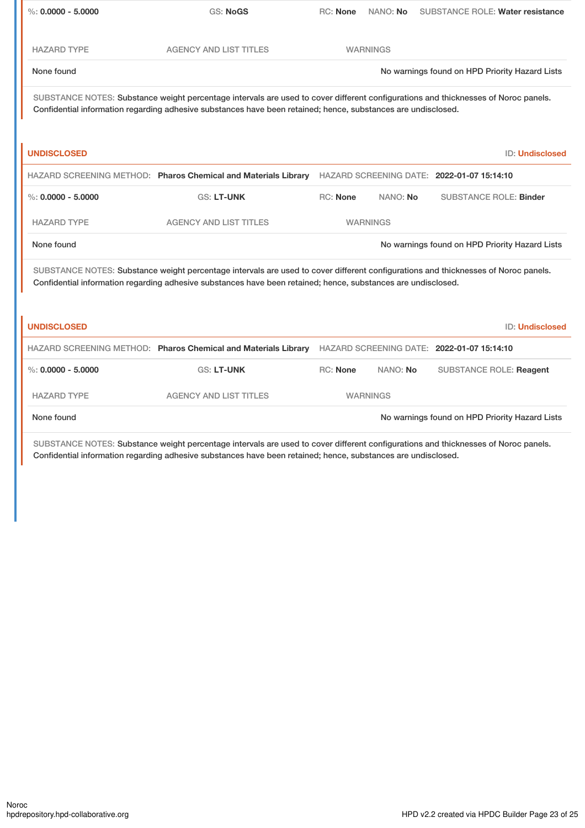| $\%$ : 0.0000 - 5.0000                                                                                                                                                                                                                              | <b>GS: NoGS</b>                                                                                                                                                                                                                                     | RC: None        | NANO: No        | <b>SUBSTANCE ROLE: Water resistance</b>        |
|-----------------------------------------------------------------------------------------------------------------------------------------------------------------------------------------------------------------------------------------------------|-----------------------------------------------------------------------------------------------------------------------------------------------------------------------------------------------------------------------------------------------------|-----------------|-----------------|------------------------------------------------|
|                                                                                                                                                                                                                                                     |                                                                                                                                                                                                                                                     |                 |                 |                                                |
| <b>HAZARD TYPE</b>                                                                                                                                                                                                                                  | <b>AGENCY AND LIST TITLES</b>                                                                                                                                                                                                                       |                 | <b>WARNINGS</b> |                                                |
| None found                                                                                                                                                                                                                                          |                                                                                                                                                                                                                                                     |                 |                 | No warnings found on HPD Priority Hazard Lists |
| SUBSTANCE NOTES: Substance weight percentage intervals are used to cover different configurations and thicknesses of Noroc panels.<br>Confidential information regarding adhesive substances have been retained; hence, substances are undisclosed. |                                                                                                                                                                                                                                                     |                 |                 |                                                |
| <b>UNDISCLOSED</b>                                                                                                                                                                                                                                  |                                                                                                                                                                                                                                                     |                 |                 | <b>ID: Undisclosed</b>                         |
|                                                                                                                                                                                                                                                     | HAZARD SCREENING METHOD: Pharos Chemical and Materials Library HAZARD SCREENING DATE: 2022-01-07 15:14:10                                                                                                                                           |                 |                 |                                                |
| $\%$ : 0.0000 - 5.0000                                                                                                                                                                                                                              | <b>GS: LT-UNK</b>                                                                                                                                                                                                                                   | <b>RC: None</b> | NANO: No        | <b>SUBSTANCE ROLE: Binder</b>                  |
| <b>HAZARD TYPE</b>                                                                                                                                                                                                                                  | <b>AGENCY AND LIST TITLES</b>                                                                                                                                                                                                                       |                 | <b>WARNINGS</b> |                                                |
| None found                                                                                                                                                                                                                                          |                                                                                                                                                                                                                                                     |                 |                 | No warnings found on HPD Priority Hazard Lists |
| SUBSTANCE NOTES: Substance weight percentage intervals are used to cover different configurations and thicknesses of Noroc panels.<br>Confidential information regarding adhesive substances have been retained; hence, substances are undisclosed. |                                                                                                                                                                                                                                                     |                 |                 |                                                |
| <b>UNDISCLOSED</b>                                                                                                                                                                                                                                  |                                                                                                                                                                                                                                                     |                 |                 | <b>ID: Undisclosed</b>                         |
|                                                                                                                                                                                                                                                     | HAZARD SCREENING METHOD: Pharos Chemical and Materials Library HAZARD SCREENING DATE: 2022-01-07 15:14:10                                                                                                                                           |                 |                 |                                                |
| %: $0.0000 - 5.0000$                                                                                                                                                                                                                                | <b>GS: LT-UNK</b>                                                                                                                                                                                                                                   | <b>RC: None</b> | NANO: No        | <b>SUBSTANCE ROLE: Reagent</b>                 |
| <b>HAZARD TYPE</b>                                                                                                                                                                                                                                  | <b>AGENCY AND LIST TITLES</b>                                                                                                                                                                                                                       |                 | <b>WARNINGS</b> |                                                |
| None found                                                                                                                                                                                                                                          |                                                                                                                                                                                                                                                     |                 |                 | No warnings found on HPD Priority Hazard Lists |
|                                                                                                                                                                                                                                                     | SUBSTANCE NOTES: Substance weight percentage intervals are used to cover different configurations and thicknesses of Noroc panels.<br>Confidential information regarding adhesive substances have been retained; hence, substances are undisclosed. |                 |                 |                                                |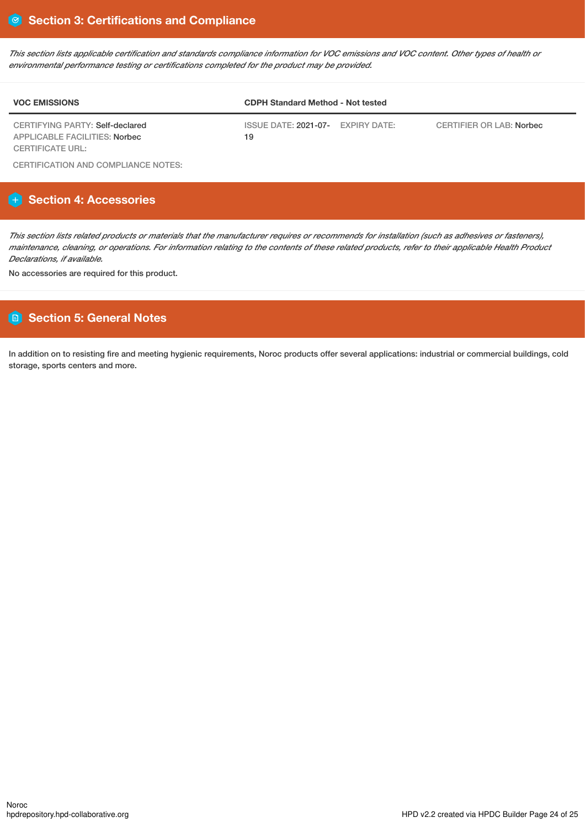This section lists applicable certification and standards compliance information for VOC emissions and VOC content. Other types of health or *environmental performance testing or certifications completed for the product may be provided.*

| <b>VOC EMISSIONS</b>                                             | <b>CDPH Standard Method - Not tested</b> |                          |  |  |
|------------------------------------------------------------------|------------------------------------------|--------------------------|--|--|
| CERTIFYING PARTY: Self-declared<br>APPLICABLE FACILITIES: Norbec | ISSUE DATE: 2021-07- EXPIRY DATE:<br>19  | CERTIFIER OR LAB: Norbec |  |  |
| CERTIFICATE URL:                                                 |                                          |                          |  |  |

CERTIFICATION AND COMPLIANCE NOTES:

# **Section 4: Accessories**

This section lists related products or materials that the manufacturer requires or recommends for installation (such as adhesives or fasteners), maintenance, cleaning, or operations. For information relating to the contents of these related products, refer to their applicable Health Product *Declarations, if available.*

No accessories are required for this product.

# **Section 5: General Notes**

In addition on to resisting fire and meeting hygienic requirements, Noroc products offer several applications: industrial or commercial buildings, cold storage, sports centers and more.